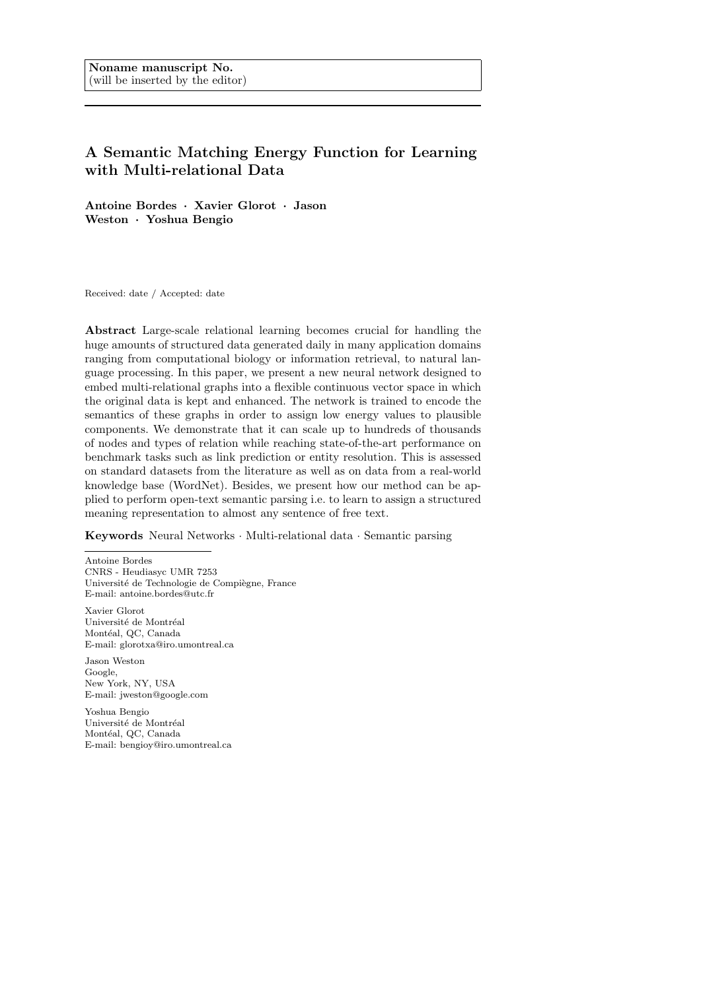# A Semantic Matching Energy Function for Learning with Multi-relational Data

Antoine Bordes · Xavier Glorot · Jason Weston · Yoshua Bengio

Received: date / Accepted: date

Abstract Large-scale relational learning becomes crucial for handling the huge amounts of structured data generated daily in many application domains ranging from computational biology or information retrieval, to natural language processing. In this paper, we present a new neural network designed to embed multi-relational graphs into a flexible continuous vector space in which the original data is kept and enhanced. The network is trained to encode the semantics of these graphs in order to assign low energy values to plausible components. We demonstrate that it can scale up to hundreds of thousands of nodes and types of relation while reaching state-of-the-art performance on benchmark tasks such as link prediction or entity resolution. This is assessed on standard datasets from the literature as well as on data from a real-world knowledge base (WordNet). Besides, we present how our method can be applied to perform open-text semantic parsing i.e. to learn to assign a structured meaning representation to almost any sentence of free text.

Keywords Neural Networks · Multi-relational data · Semantic parsing

Antoine Bordes CNRS - Heudiasyc UMR 7253 Université de Technologie de Compiègne, France E-mail: antoine.bordes@utc.fr

Xavier Glorot Université de Montréal Montéal, QC, Canada E-mail: glorotxa@iro.umontreal.ca

Jason Weston Google, New York, NY, USA E-mail: jweston@google.com

Yoshua Bengio Université de Montréal Montéal, QC, Canada E-mail: bengioy@iro.umontreal.ca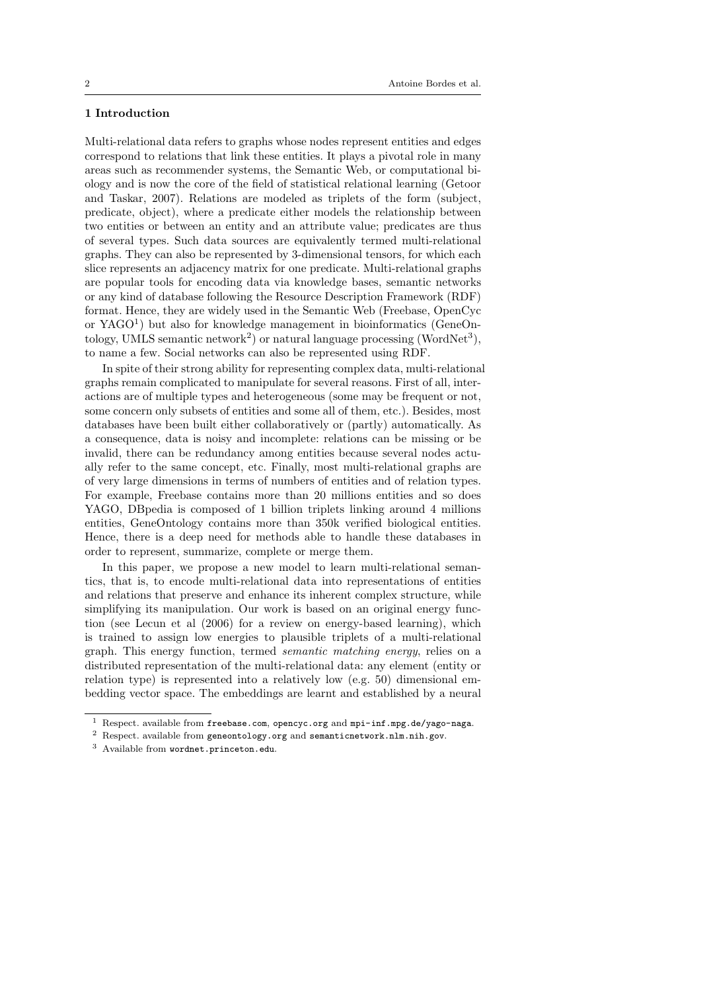# 1 Introduction

Multi-relational data refers to graphs whose nodes represent entities and edges correspond to relations that link these entities. It plays a pivotal role in many areas such as recommender systems, the Semantic Web, or computational biology and is now the core of the field of statistical relational learning (Getoor and Taskar, 2007). Relations are modeled as triplets of the form (subject, predicate, object), where a predicate either models the relationship between two entities or between an entity and an attribute value; predicates are thus of several types. Such data sources are equivalently termed multi-relational graphs. They can also be represented by 3-dimensional tensors, for which each slice represents an adjacency matrix for one predicate. Multi-relational graphs are popular tools for encoding data via knowledge bases, semantic networks or any kind of database following the Resource Description Framework (RDF) format. Hence, they are widely used in the Semantic Web (Freebase, OpenCyc or YAGO<sup>1</sup> ) but also for knowledge management in bioinformatics (GeneOntology, UMLS semantic network<sup>2</sup>) or natural language processing (WordNet<sup>3</sup>), to name a few. Social networks can also be represented using RDF.

In spite of their strong ability for representing complex data, multi-relational graphs remain complicated to manipulate for several reasons. First of all, interactions are of multiple types and heterogeneous (some may be frequent or not, some concern only subsets of entities and some all of them, etc.). Besides, most databases have been built either collaboratively or (partly) automatically. As a consequence, data is noisy and incomplete: relations can be missing or be invalid, there can be redundancy among entities because several nodes actually refer to the same concept, etc. Finally, most multi-relational graphs are of very large dimensions in terms of numbers of entities and of relation types. For example, Freebase contains more than 20 millions entities and so does YAGO, DBpedia is composed of 1 billion triplets linking around 4 millions entities, GeneOntology contains more than 350k verified biological entities. Hence, there is a deep need for methods able to handle these databases in order to represent, summarize, complete or merge them.

In this paper, we propose a new model to learn multi-relational semantics, that is, to encode multi-relational data into representations of entities and relations that preserve and enhance its inherent complex structure, while simplifying its manipulation. Our work is based on an original energy function (see Lecun et al (2006) for a review on energy-based learning), which is trained to assign low energies to plausible triplets of a multi-relational graph. This energy function, termed semantic matching energy, relies on a distributed representation of the multi-relational data: any element (entity or relation type) is represented into a relatively low (e.g. 50) dimensional embedding vector space. The embeddings are learnt and established by a neural

<sup>1</sup> Respect. available from freebase.com, opencyc.org and mpi-inf.mpg.de/yago-naga.

<sup>&</sup>lt;sup>2</sup> Respect. available from geneontology.org and semanticnetwork.nlm.nih.gov.

<sup>3</sup> Available from wordnet.princeton.edu.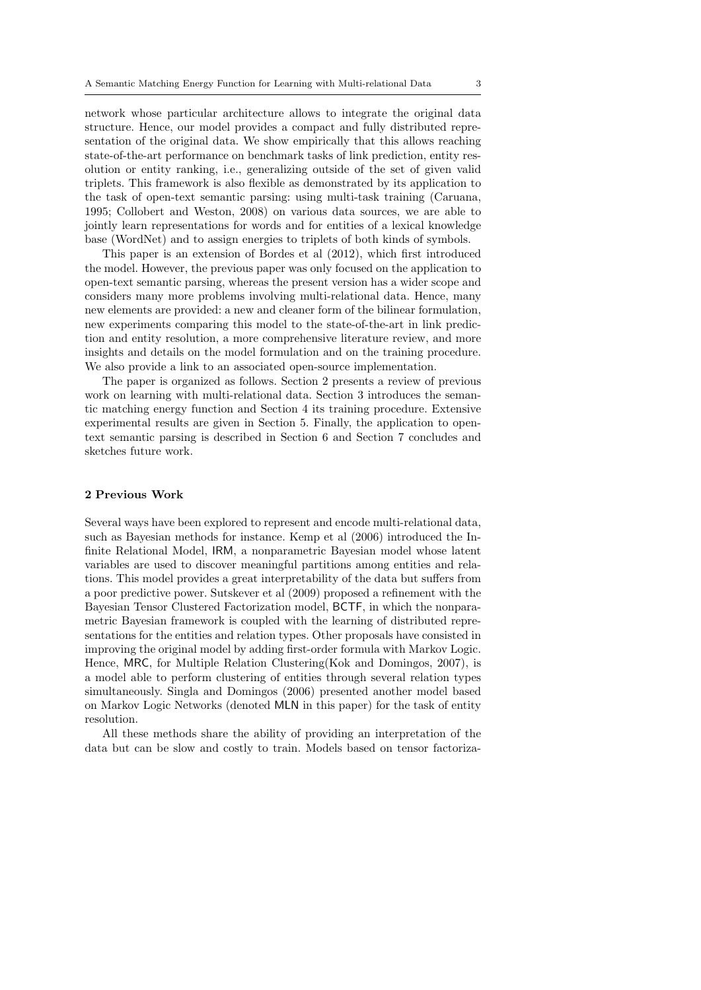network whose particular architecture allows to integrate the original data structure. Hence, our model provides a compact and fully distributed representation of the original data. We show empirically that this allows reaching state-of-the-art performance on benchmark tasks of link prediction, entity resolution or entity ranking, i.e., generalizing outside of the set of given valid triplets. This framework is also flexible as demonstrated by its application to the task of open-text semantic parsing: using multi-task training (Caruana, 1995; Collobert and Weston, 2008) on various data sources, we are able to jointly learn representations for words and for entities of a lexical knowledge base (WordNet) and to assign energies to triplets of both kinds of symbols.

This paper is an extension of Bordes et al (2012), which first introduced the model. However, the previous paper was only focused on the application to open-text semantic parsing, whereas the present version has a wider scope and considers many more problems involving multi-relational data. Hence, many new elements are provided: a new and cleaner form of the bilinear formulation, new experiments comparing this model to the state-of-the-art in link prediction and entity resolution, a more comprehensive literature review, and more insights and details on the model formulation and on the training procedure. We also provide a link to an associated open-source implementation.

The paper is organized as follows. Section 2 presents a review of previous work on learning with multi-relational data. Section 3 introduces the semantic matching energy function and Section 4 its training procedure. Extensive experimental results are given in Section 5. Finally, the application to opentext semantic parsing is described in Section 6 and Section 7 concludes and sketches future work.

# 2 Previous Work

Several ways have been explored to represent and encode multi-relational data, such as Bayesian methods for instance. Kemp et al (2006) introduced the Infinite Relational Model, IRM, a nonparametric Bayesian model whose latent variables are used to discover meaningful partitions among entities and relations. This model provides a great interpretability of the data but suffers from a poor predictive power. Sutskever et al (2009) proposed a refinement with the Bayesian Tensor Clustered Factorization model, BCTF, in which the nonparametric Bayesian framework is coupled with the learning of distributed representations for the entities and relation types. Other proposals have consisted in improving the original model by adding first-order formula with Markov Logic. Hence, MRC, for Multiple Relation Clustering(Kok and Domingos, 2007), is a model able to perform clustering of entities through several relation types simultaneously. Singla and Domingos (2006) presented another model based on Markov Logic Networks (denoted MLN in this paper) for the task of entity resolution.

All these methods share the ability of providing an interpretation of the data but can be slow and costly to train. Models based on tensor factoriza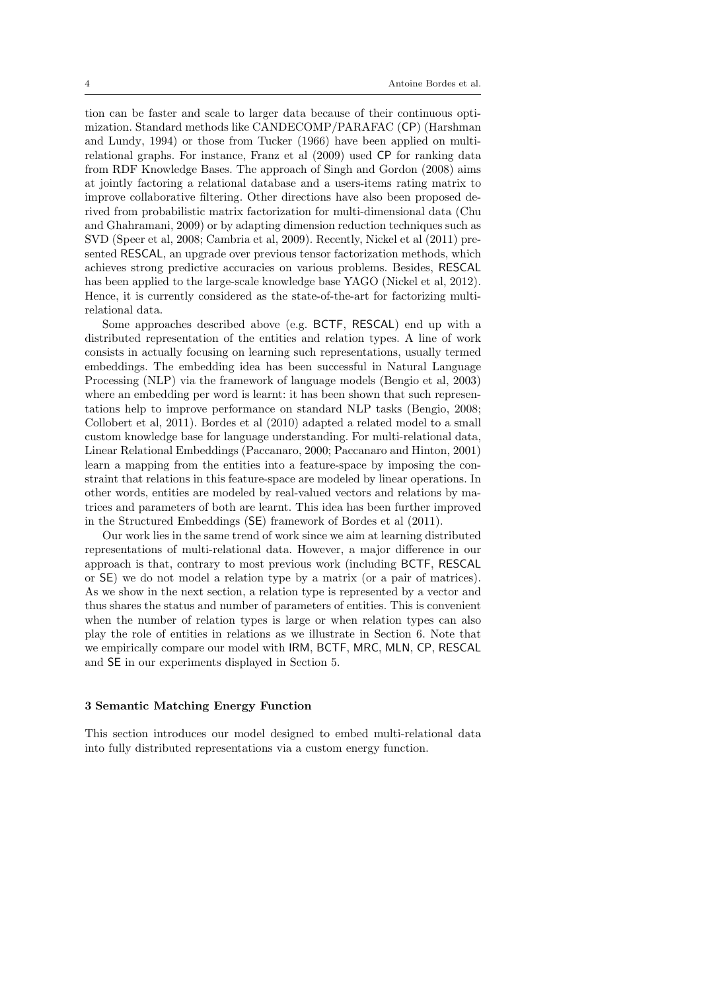tion can be faster and scale to larger data because of their continuous optimization. Standard methods like CANDECOMP/PARAFAC (CP) (Harshman and Lundy, 1994) or those from Tucker (1966) have been applied on multirelational graphs. For instance, Franz et al (2009) used CP for ranking data from RDF Knowledge Bases. The approach of Singh and Gordon (2008) aims at jointly factoring a relational database and a users-items rating matrix to improve collaborative filtering. Other directions have also been proposed derived from probabilistic matrix factorization for multi-dimensional data (Chu and Ghahramani, 2009) or by adapting dimension reduction techniques such as SVD (Speer et al, 2008; Cambria et al, 2009). Recently, Nickel et al (2011) presented RESCAL, an upgrade over previous tensor factorization methods, which achieves strong predictive accuracies on various problems. Besides, RESCAL has been applied to the large-scale knowledge base YAGO (Nickel et al, 2012). Hence, it is currently considered as the state-of-the-art for factorizing multirelational data.

Some approaches described above (e.g. BCTF, RESCAL) end up with a distributed representation of the entities and relation types. A line of work consists in actually focusing on learning such representations, usually termed embeddings. The embedding idea has been successful in Natural Language Processing (NLP) via the framework of language models (Bengio et al, 2003) where an embedding per word is learnt: it has been shown that such representations help to improve performance on standard NLP tasks (Bengio, 2008; Collobert et al, 2011). Bordes et al (2010) adapted a related model to a small custom knowledge base for language understanding. For multi-relational data, Linear Relational Embeddings (Paccanaro, 2000; Paccanaro and Hinton, 2001) learn a mapping from the entities into a feature-space by imposing the constraint that relations in this feature-space are modeled by linear operations. In other words, entities are modeled by real-valued vectors and relations by matrices and parameters of both are learnt. This idea has been further improved in the Structured Embeddings (SE) framework of Bordes et al (2011).

Our work lies in the same trend of work since we aim at learning distributed representations of multi-relational data. However, a major difference in our approach is that, contrary to most previous work (including BCTF, RESCAL or SE) we do not model a relation type by a matrix (or a pair of matrices). As we show in the next section, a relation type is represented by a vector and thus shares the status and number of parameters of entities. This is convenient when the number of relation types is large or when relation types can also play the role of entities in relations as we illustrate in Section 6. Note that we empirically compare our model with IRM, BCTF, MRC, MLN, CP, RESCAL and SE in our experiments displayed in Section 5.

#### 3 Semantic Matching Energy Function

This section introduces our model designed to embed multi-relational data into fully distributed representations via a custom energy function.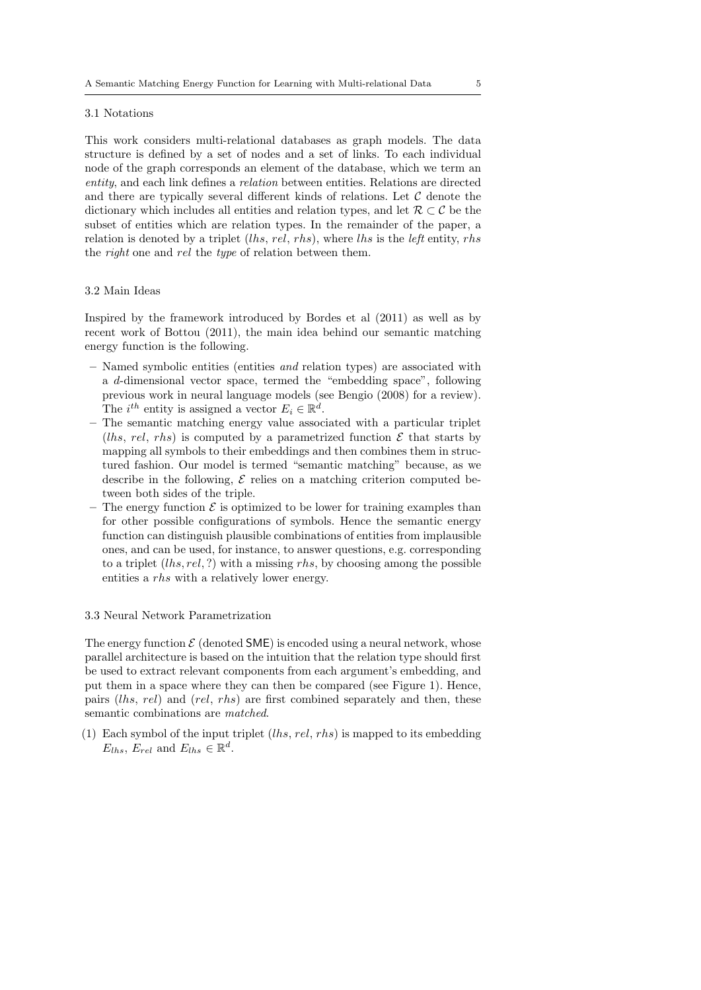#### 3.1 Notations

This work considers multi-relational databases as graph models. The data structure is defined by a set of nodes and a set of links. To each individual node of the graph corresponds an element of the database, which we term an entity, and each link defines a relation between entities. Relations are directed and there are typically several different kinds of relations. Let  $\mathcal C$  denote the dictionary which includes all entities and relation types, and let  $\mathcal{R} \subset \mathcal{C}$  be the subset of entities which are relation types. In the remainder of the paper, a relation is denoted by a triplet  $(lhs, rel, rhs)$ , where lhs is the left entity, rhs the right one and rel the type of relation between them.

## 3.2 Main Ideas

Inspired by the framework introduced by Bordes et al (2011) as well as by recent work of Bottou (2011), the main idea behind our semantic matching energy function is the following.

- Named symbolic entities (entities and relation types) are associated with a d-dimensional vector space, termed the "embedding space", following previous work in neural language models (see Bengio (2008) for a review). The  $i^{th}$  entity is assigned a vector  $E_i \in \mathbb{R}^d$ .
- The semantic matching energy value associated with a particular triplet (lhs, rel, rhs) is computed by a parametrized function  $\mathcal E$  that starts by mapping all symbols to their embeddings and then combines them in structured fashion. Our model is termed "semantic matching" because, as we describe in the following,  $\mathcal E$  relies on a matching criterion computed between both sides of the triple.
- The energy function  $\mathcal E$  is optimized to be lower for training examples than for other possible configurations of symbols. Hence the semantic energy function can distinguish plausible combinations of entities from implausible ones, and can be used, for instance, to answer questions, e.g. corresponding to a triplet  $(lhs, rel, ?)$  with a missing rhs, by choosing among the possible entities a rhs with a relatively lower energy.

#### 3.3 Neural Network Parametrization

The energy function  $\mathcal E$  (denoted SME) is encoded using a neural network, whose parallel architecture is based on the intuition that the relation type should first be used to extract relevant components from each argument's embedding, and put them in a space where they can then be compared (see Figure 1). Hence, pairs (lhs, rel) and (rel, rhs) are first combined separately and then, these semantic combinations are matched.

(1) Each symbol of the input triplet  $(lhs, rel, rhs)$  is mapped to its embedding  $E_{lhs}$ ,  $E_{rel}$  and  $E_{lhs} \in \mathbb{R}^d$ .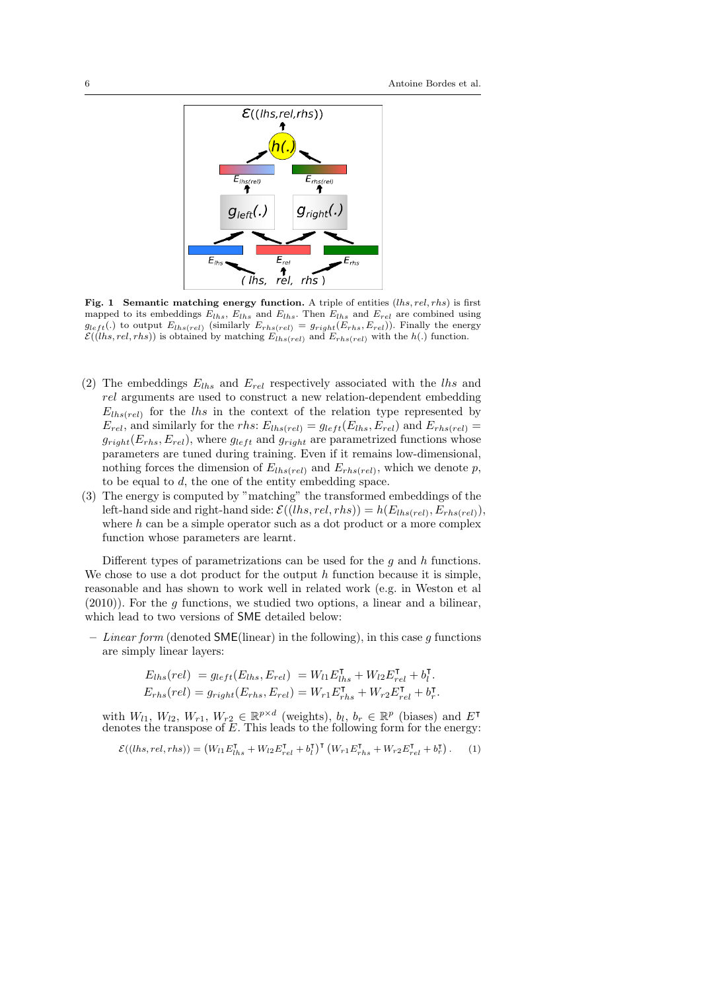

Fig. 1 Semantic matching energy function. A triple of entities  $(lhs, rel, rhs)$  is first mapped to its embeddings  $E_{lhs}$ ,  $E_{lhs}$  and  $E_{lhs}$ . Then  $E_{lhs}$  and  $E_{rel}$  are combined using  $g_{left}$ .) to output  $E_{ths(rel)}$  (similarly  $E_{rhs(rel)} = g_{right}(E_{rhs}, E_{rel})$ ). Finally the energy  $\mathcal{E}((\text{lhs}, \text{rel}, \text{rhs}))$  is obtained by matching  $E_{\text{lhs}(\text{rel})}$  and  $E_{\text{rhs}(\text{rel})}$  with the  $h(.)$  function.

- (2) The embeddings  $E_{lhs}$  and  $E_{rel}$  respectively associated with the lhs and rel arguments are used to construct a new relation-dependent embedding  $E_{lbs(rel)}$  for the lhs in the context of the relation type represented by  $E_{rel}$ , and similarly for the rhs:  $E_{lhs(rel)} = g_{left}(E_{lhs}, E_{rel})$  and  $E_{rhs(rel)} =$  $g_{right}(E_{rhs}, E_{rel})$ , where  $g_{left}$  and  $g_{right}$  are parametrized functions whose parameters are tuned during training. Even if it remains low-dimensional, nothing forces the dimension of  $E_{lhs(rel)}$  and  $E_{rhs(rel)}$ , which we denote p, to be equal to  $d$ , the one of the entity embedding space.
- (3) The energy is computed by "matching" the transformed embeddings of the left-hand side and right-hand side:  $\mathcal{E}((\text{ } h s, \text{ } rel, \text{ } r h s)) = h(E_{\text{ } \text{ } h s (\text{ } rel)}, E_{\text{ } \text{ } \text{ } rh s (\text{ } rel)}),$ where  $h$  can be a simple operator such as a dot product or a more complex function whose parameters are learnt.

Different types of parametrizations can be used for the  $q$  and  $h$  functions. We chose to use a dot product for the output  $h$  function because it is simple. reasonable and has shown to work well in related work (e.g. in Weston et al  $(2010)$ ). For the g functions, we studied two options, a linear and a bilinear, which lead to two versions of SME detailed below:

– Linear form (denoted SME(linear) in the following), in this case q functions are simply linear layers:

$$
E_{lhs}(rel) = g_{left}(E_{lhs}, E_{rel}) = W_{l1} E_{lhs}^{\mathsf{T}} + W_{l2} E_{rel}^{\mathsf{T}} + b_l^{\mathsf{T}}.
$$
  

$$
E_{rhs}(rel) = g_{right}(E_{rhs}, E_{rel}) = W_{r1} E_{rhs}^{\mathsf{T}} + W_{r2} E_{rel}^{\mathsf{T}} + b_r^{\mathsf{T}}.
$$

with  $W_{l1}$ ,  $W_{l2}$ ,  $W_{r1}$ ,  $W_{r2} \in \mathbb{R}^{p \times d}$  (weights),  $b_l$ ,  $b_r \in \mathbb{R}^p$  (biases) and  $E^{\mathsf{T}}$ denotes the transpose of E. This leads to the following form for the energy:

$$
\mathcal{E}((\text{lls},\text{rel},\text{rhs})) = \left(W_{l1}E_{lhs}^{\mathsf{T}} + W_{l2}E_{rel}^{\mathsf{T}} + b_{l}^{\mathsf{T}}\right)^{\mathsf{T}}\left(W_{r1}E_{rhs}^{\mathsf{T}} + W_{r2}E_{rel}^{\mathsf{T}} + b_{r}^{\mathsf{T}}\right). \tag{1}
$$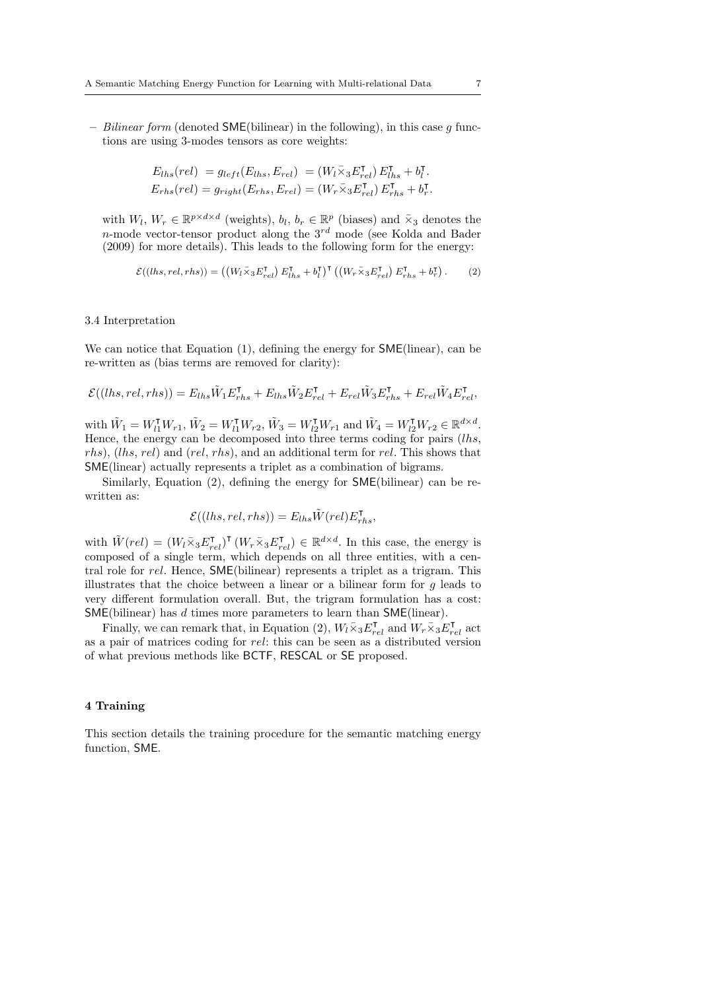– Bilinear form (denoted  $\mathsf{SME}(\text{bilinear})$  in the following), in this case g functions are using 3-modes tensors as core weights:

$$
E_{lhs}(rel) = g_{left}(E_{lhs}, E_{rel}) = (W_l \overline{\times}_3 E_{rel}^{\mathsf{T}}) E_{lhs}^{\mathsf{T}} + b_l^{\mathsf{T}}.
$$
  

$$
E_{rhs}(rel) = g_{right}(E_{rhs}, E_{rel}) = (W_r \overline{\times}_3 E_{rel}^{\mathsf{T}}) E_{rhs}^{\mathsf{T}} + b_r^{\mathsf{T}}.
$$

with  $W_l$ ,  $W_r \in \mathbb{R}^{p \times d \times d}$  (weights),  $b_l, b_r \in \mathbb{R}^p$  (biases) and  $\bar{x}_3$  denotes the n-mode vector-tensor product along the  $3^{rd}$  mode (see Kolda and Bader (2009) for more details). This leads to the following form for the energy:

$$
\mathcal{E}((\text{lls},\text{rel},\text{rhs})) = \left( \left( W_l \bar{\times}_3 E_{rel}^{\mathsf{T}} \right) E_{\text{lls}}^{\mathsf{T}} + b_l^{\mathsf{T}} \right)^\mathsf{T} \left( \left( W_r \bar{\times}_3 E_{rel}^{\mathsf{T}} \right) E_{\text{rls}}^{\mathsf{T}} + b_r^{\mathsf{T}} \right). \tag{2}
$$

## 3.4 Interpretation

We can notice that Equation (1), defining the energy for **SME**(linear), can be re-written as (bias terms are removed for clarity):

$$
\mathcal{E}((\mathit{lls},\mathit{rel},\mathit{rhs})) = E_{\mathit{lls}}\tilde{W}_1E_{\mathit{rhs}}^\intercal + E_{\mathit{lls}}\tilde{W}_2E_{\mathit{rel}}^\intercal + E_{\mathit{rel}}\tilde{W}_3E_{\mathit{rhs}}^\intercal + E_{\mathit{rel}}\tilde{W}_4E_{\mathit{rel}}^\intercal,
$$

with  $\tilde{W}_1 = W_{l_1}^{\mathsf{T}} W_{r1}, \tilde{W}_2 = W_{l_1}^{\mathsf{T}} W_{r2}, \tilde{W}_3 = W_{l_2}^{\mathsf{T}} W_{r1}$  and  $\tilde{W}_4 = W_{l_2}^{\mathsf{T}} W_{r2} \in \mathbb{R}^{d \times d}$ . Hence, the energy can be decomposed into three terms coding for pairs (lhs, rhs), (lhs, rel) and (rel, rhs), and an additional term for rel. This shows that SME(linear) actually represents a triplet as a combination of bigrams.

Similarly, Equation (2), defining the energy for SME(bilinear) can be rewritten as:

$$
\mathcal{E}((\text{ }|l\text{ }|s,\text{ }rel,\text{ }r\text{ }h\text{ }s))=E_{\text{ }|l\text{ }|s}\tilde{W}(\text{ }rel)E_{\text{ }r\text{ }h\text{ }s}^{\mathsf{T}},
$$

with  $\tilde{W}(rel) = (W_l \bar{\times}_3 E_{rel}^{\mathsf{T}})^{\mathsf{T}} (W_r \bar{\times}_3 E_{rel}^{\mathsf{T}}) \in \mathbb{R}^{d \times d}$ . In this case, the energy is composed of a single term, which depends on all three entities, with a central role for rel. Hence, SME(bilinear) represents a triplet as a trigram. This illustrates that the choice between a linear or a bilinear form for  $g$  leads to very different formulation overall. But, the trigram formulation has a cost: SME(bilinear) has d times more parameters to learn than SME(linear).

Finally, we can remark that, in Equation (2),  $W_l \overline{\times}_3 E_{rel}^{\intercal}$  and  $W_r \overline{\times}_3 E_{rel}^{\intercal}$  act as a pair of matrices coding for rel: this can be seen as a distributed version of what previous methods like BCTF, RESCAL or SE proposed.

## 4 Training

This section details the training procedure for the semantic matching energy function, SME.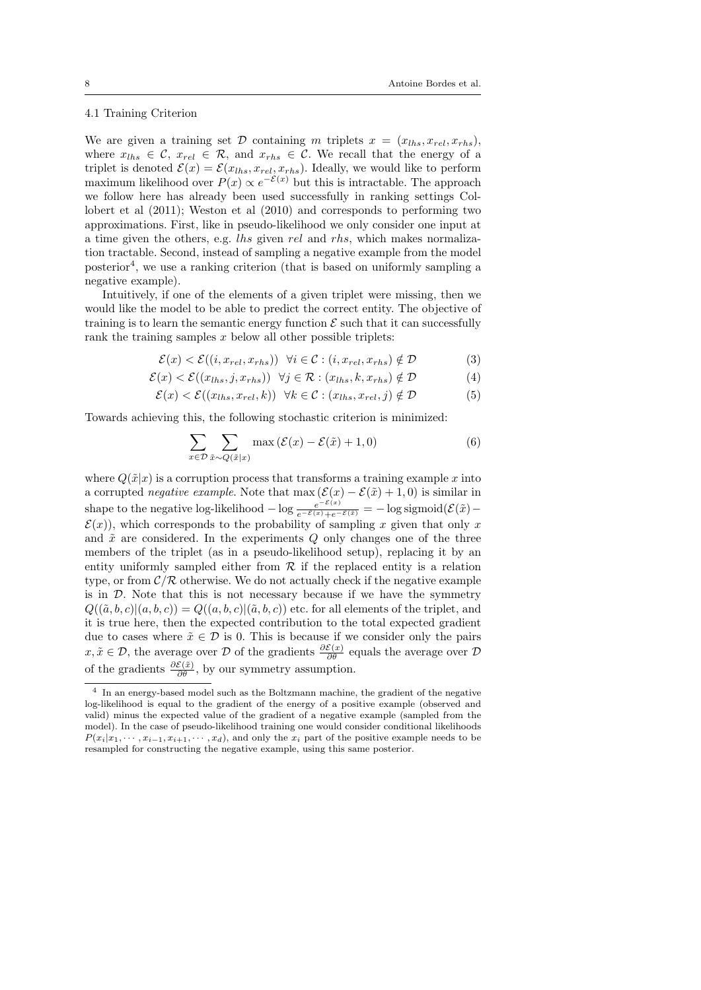## 4.1 Training Criterion

We are given a training set D containing m triplets  $x = (x_{lhs}, x_{rel}, x_{rhs})$ , where  $x_{lhs} \in \mathcal{C}$ ,  $x_{rel} \in \mathcal{R}$ , and  $x_{rhs} \in \mathcal{C}$ . We recall that the energy of a triplet is denoted  $\mathcal{E}(x) = \mathcal{E}(x_{lhs}, x_{rel}, x_{rhs})$ . Ideally, we would like to perform maximum likelihood over  $P(x) \propto e^{-\mathcal{E}(x)}$  but this is intractable. The approach we follow here has already been used successfully in ranking settings Collobert et al (2011); Weston et al (2010) and corresponds to performing two approximations. First, like in pseudo-likelihood we only consider one input at a time given the others, e.g. lhs given rel and rhs, which makes normalization tractable. Second, instead of sampling a negative example from the model posterior<sup>4</sup>, we use a ranking criterion (that is based on uniformly sampling a negative example).

Intuitively, if one of the elements of a given triplet were missing, then we would like the model to be able to predict the correct entity. The objective of training is to learn the semantic energy function  $\mathcal E$  such that it can successfully rank the training samples  $x$  below all other possible triplets:

$$
\mathcal{E}(x) < \mathcal{E}((i, x_{rel}, x_{rhs})) \quad \forall i \in \mathcal{C} : (i, x_{rel}, x_{rhs}) \notin \mathcal{D} \tag{3}
$$

$$
\mathcal{E}(x) < \mathcal{E}((x_{lhs}, j, x_{rhs})) \ \forall j \in \mathcal{R} : (x_{lhs}, k, x_{rhs}) \notin \mathcal{D} \tag{4}
$$

$$
\mathcal{E}(x) < \mathcal{E}((x_{lhs}, x_{rel}, k)) \quad \forall k \in \mathcal{C} : (x_{lhs}, x_{rel}, j) \notin \mathcal{D} \tag{5}
$$

Towards achieving this, the following stochastic criterion is minimized:

$$
\sum_{x \in \mathcal{D}} \sum_{\tilde{x} \sim Q(\tilde{x}|x)} \max \left( \mathcal{E}(x) - \mathcal{E}(\tilde{x}) + 1, 0 \right) \tag{6}
$$

where  $Q(\tilde{x}|x)$  is a corruption process that transforms a training example x into a corrupted *negative example*. Note that  $\max(\mathcal{E}(x) - \mathcal{E}(\tilde{x}) + 1, 0)$  is similar in shape to the negative log-likelihood  $-\log \frac{e^{-\mathcal{E}(x)}}{e^{-\mathcal{E}(x)}+e^{-\mathcal{E}(\bar{x})}} = -\log \text{sigmoid}(\mathcal{E}(\tilde{x}) \mathcal{E}(x)$ , which corresponds to the probability of sampling x given that only x and  $\tilde{x}$  are considered. In the experiments  $Q$  only changes one of the three members of the triplet (as in a pseudo-likelihood setup), replacing it by an entity uniformly sampled either from  $R$  if the replaced entity is a relation type, or from  $\mathcal{C}/\mathcal{R}$  otherwise. We do not actually check if the negative example is in  $\mathcal{D}$ . Note that this is not necessary because if we have the symmetry  $Q((\tilde{a},b,c)|(a,b,c)) = Q((a,b,c)|(\tilde{a},b,c))$  etc. for all elements of the triplet, and it is true here, then the expected contribution to the total expected gradient due to cases where  $\tilde{x} \in \mathcal{D}$  is 0. This is because if we consider only the pairs  $x, \tilde{x} \in \mathcal{D}$ , the average over  $\mathcal D$  of the gradients  $\frac{\partial \mathcal{E}(x)}{\partial \theta}$  equals the average over  $\mathcal D$ of the gradients  $\frac{\partial \mathcal{E}(\tilde{x})}{\partial \theta}$ , by our symmetry assumption.

<sup>4</sup> In an energy-based model such as the Boltzmann machine, the gradient of the negative log-likelihood is equal to the gradient of the energy of a positive example (observed and valid) minus the expected value of the gradient of a negative example (sampled from the model). In the case of pseudo-likelihood training one would consider conditional likelihoods  $P(x_i|x_1, \dots, x_{i-1}, x_{i+1}, \dots, x_d)$ , and only the  $x_i$  part of the positive example needs to be resampled for constructing the negative example, using this same posterior.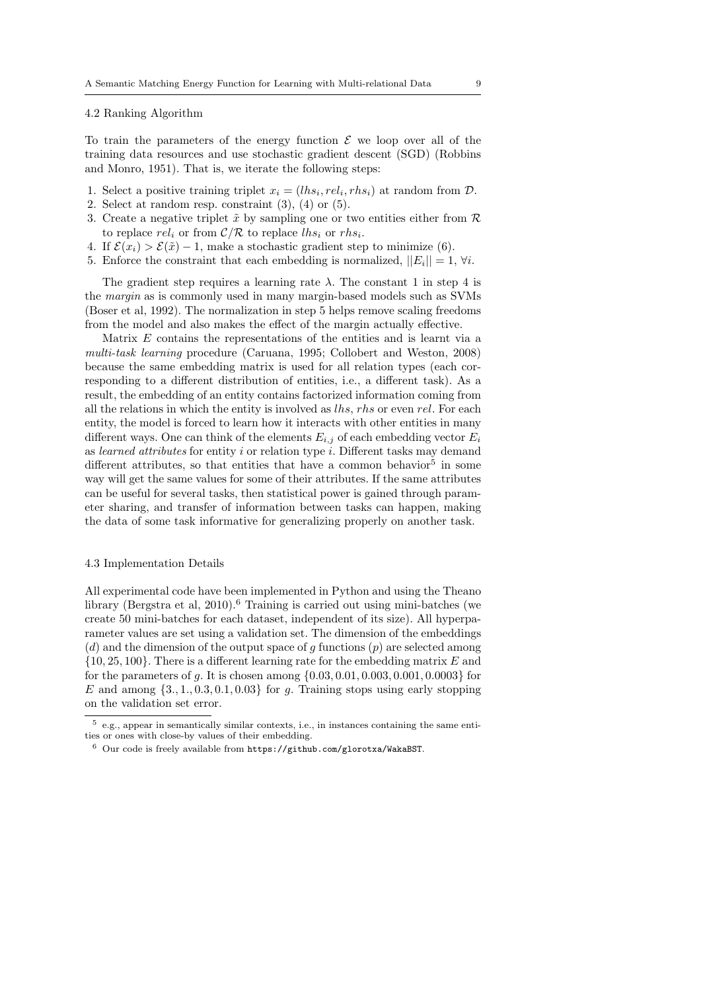#### 4.2 Ranking Algorithm

To train the parameters of the energy function  $\mathcal E$  we loop over all of the training data resources and use stochastic gradient descent (SGD) (Robbins and Monro, 1951). That is, we iterate the following steps:

- 1. Select a positive training triplet  $x_i = (lhs_i, rel_i, rhs_i)$  at random from  $D$ .
- 2. Select at random resp. constraint (3), (4) or (5).
- 3. Create a negative triplet  $\tilde{x}$  by sampling one or two entities either from R to replace  $rel_i$  or from  $\mathcal{C}/\mathcal{R}$  to replace  $lhs_i$  or  $rhs_i$ .
- 4. If  $\mathcal{E}(x_i) > \mathcal{E}(\tilde{x}) 1$ , make a stochastic gradient step to minimize (6).
- 5. Enforce the constraint that each embedding is normalized,  $||E_i|| = 1$ ,  $\forall i$ .

The gradient step requires a learning rate  $\lambda$ . The constant 1 in step 4 is the margin as is commonly used in many margin-based models such as SVMs (Boser et al, 1992). The normalization in step 5 helps remove scaling freedoms from the model and also makes the effect of the margin actually effective.

Matrix  $E$  contains the representations of the entities and is learnt via a multi-task learning procedure (Caruana, 1995; Collobert and Weston, 2008) because the same embedding matrix is used for all relation types (each corresponding to a different distribution of entities, i.e., a different task). As a result, the embedding of an entity contains factorized information coming from all the relations in which the entity is involved as lhs, rhs or even rel. For each entity, the model is forced to learn how it interacts with other entities in many different ways. One can think of the elements  $E_{i,j}$  of each embedding vector  $E_i$ as learned attributes for entity i or relation type i. Different tasks may demand different attributes, so that entities that have a common behavior<sup>5</sup> in some way will get the same values for some of their attributes. If the same attributes can be useful for several tasks, then statistical power is gained through parameter sharing, and transfer of information between tasks can happen, making the data of some task informative for generalizing properly on another task.

#### 4.3 Implementation Details

All experimental code have been implemented in Python and using the Theano library (Bergstra et al, 2010).<sup>6</sup> Training is carried out using mini-batches (we create 50 mini-batches for each dataset, independent of its size). All hyperparameter values are set using a validation set. The dimension of the embeddings  $(d)$  and the dimension of the output space of g functions  $(p)$  are selected among  $\{10, 25, 100\}$ . There is a different learning rate for the embedding matrix E and for the parameters of g. It is chosen among  $\{0.03, 0.01, 0.003, 0.001, 0.0003\}$  for E and among  $\{3, 1, 0.3, 0.1, 0.03\}$  for g. Training stops using early stopping on the validation set error.

 $5$  e.g., appear in semantically similar contexts, i.e., in instances containing the same entities or ones with close-by values of their embedding.

<sup>6</sup> Our code is freely available from https://github.com/glorotxa/WakaBST.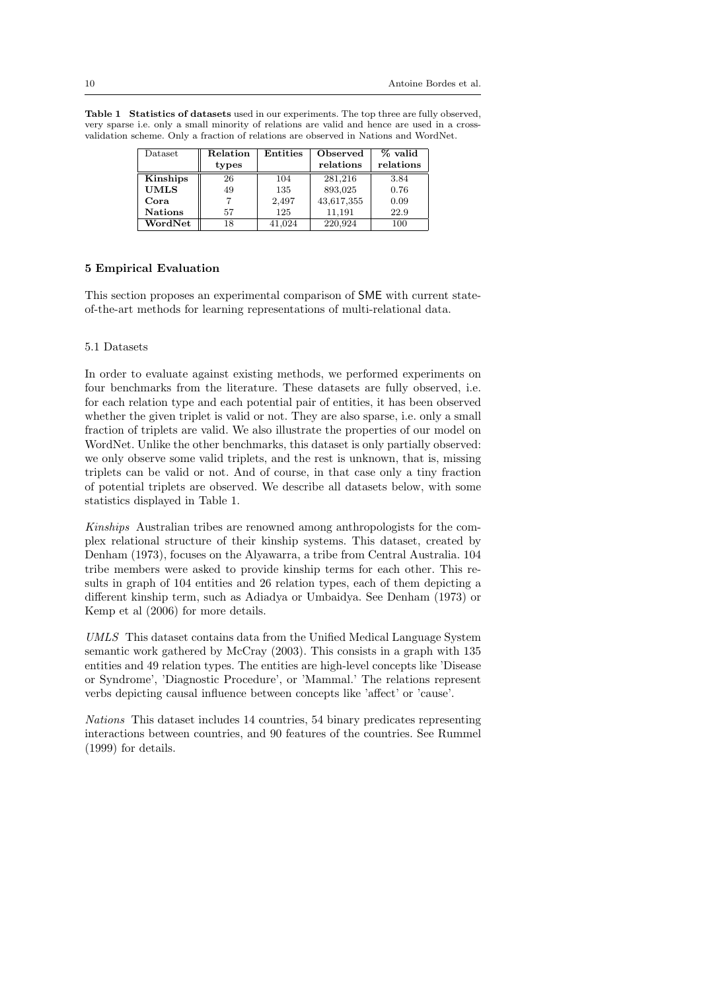Table 1 Statistics of datasets used in our experiments. The top three are fully observed, very sparse i.e. only a small minority of relations are valid and hence are used in a crossvalidation scheme. Only a fraction of relations are observed in Nations and WordNet.

| Dataset        | Relation | Entities | Observed   | $%$ valid |
|----------------|----------|----------|------------|-----------|
|                | types    |          | relations  | relations |
| Kinships       | 26       | 104      | 281.216    | 3.84      |
| <b>UMLS</b>    | 49       | 135      | 893,025    | 0.76      |
| Cora           |          | 2,497    | 43,617,355 | 0.09      |
| <b>Nations</b> | 57       | 125      | 11.191     | 22.9      |
| WordNet        | 18       | 41.024   | 220.924    | $100\,$   |

## 5 Empirical Evaluation

This section proposes an experimental comparison of SME with current stateof-the-art methods for learning representations of multi-relational data.

## 5.1 Datasets

In order to evaluate against existing methods, we performed experiments on four benchmarks from the literature. These datasets are fully observed, i.e. for each relation type and each potential pair of entities, it has been observed whether the given triplet is valid or not. They are also sparse, i.e. only a small fraction of triplets are valid. We also illustrate the properties of our model on WordNet. Unlike the other benchmarks, this dataset is only partially observed: we only observe some valid triplets, and the rest is unknown, that is, missing triplets can be valid or not. And of course, in that case only a tiny fraction of potential triplets are observed. We describe all datasets below, with some statistics displayed in Table 1.

Kinships Australian tribes are renowned among anthropologists for the complex relational structure of their kinship systems. This dataset, created by Denham (1973), focuses on the Alyawarra, a tribe from Central Australia. 104 tribe members were asked to provide kinship terms for each other. This results in graph of 104 entities and 26 relation types, each of them depicting a different kinship term, such as Adiadya or Umbaidya. See Denham (1973) or Kemp et al (2006) for more details.

UMLS This dataset contains data from the Unified Medical Language System semantic work gathered by McCray (2003). This consists in a graph with 135 entities and 49 relation types. The entities are high-level concepts like 'Disease or Syndrome', 'Diagnostic Procedure', or 'Mammal.' The relations represent verbs depicting causal influence between concepts like 'affect' or 'cause'.

Nations This dataset includes 14 countries, 54 binary predicates representing interactions between countries, and 90 features of the countries. See Rummel (1999) for details.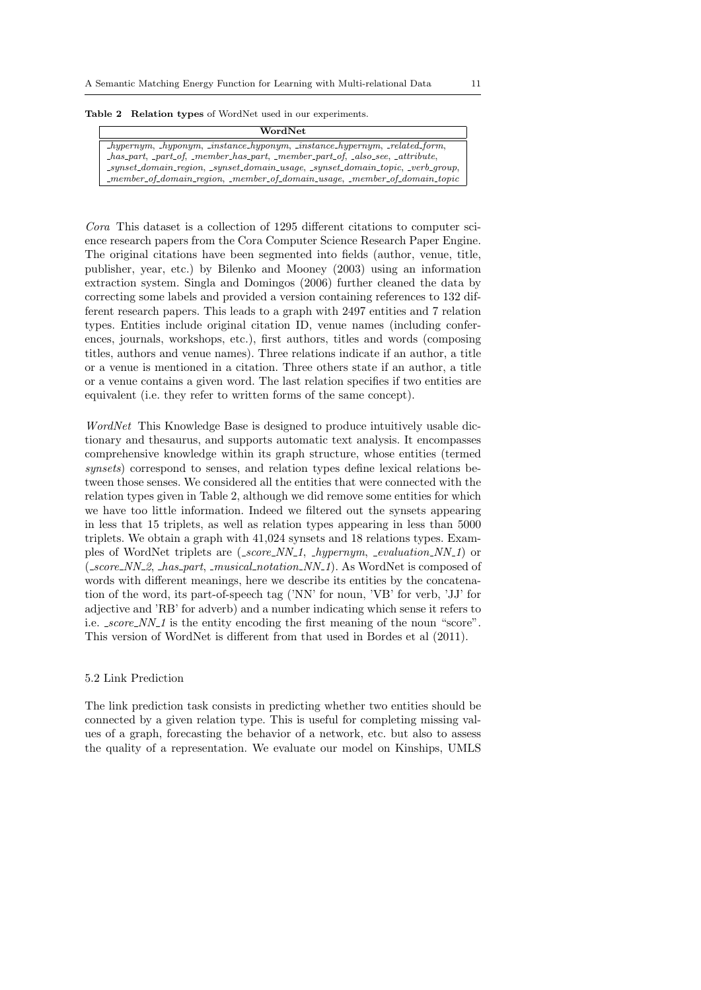|  |  |  |  |  |  |  |  | <b>Table 2</b> Relation types of WordNet used in our experiments. |
|--|--|--|--|--|--|--|--|-------------------------------------------------------------------|
|--|--|--|--|--|--|--|--|-------------------------------------------------------------------|

| WordNet                                                                                                                                              |
|------------------------------------------------------------------------------------------------------------------------------------------------------|
| $\lnot\text{hypernym}, \lnot\text{hyponym}, \lnot\text{instance\_hyponym}, \lnot\text{instance\_hypernym}, \lnot\text{related\_form},$               |
| $_{\text{has-part}}$ , $_{\text{part_o}}$ $_{\text{member}$ has part, $_{\text{member}$ part of, $_{\text{a}}$ lso see, $_{\text{a}}$ attribute,     |
| $\textit{\_synset\_domain\_region}, \textit{\_synset\_domain\_usage}, \textit{\_synset\_domain\_topic}, \textit{\_verb\_group},$                     |
| $\textit{L.}$ member $\textit{of\_domain\_region}, \textit{L.}$ member $\textit{of\_domain\_usage}, \textit{L.}$ member $\textit{of\_domain\_topic}$ |

Cora This dataset is a collection of 1295 different citations to computer science research papers from the Cora Computer Science Research Paper Engine. The original citations have been segmented into fields (author, venue, title, publisher, year, etc.) by Bilenko and Mooney (2003) using an information extraction system. Singla and Domingos (2006) further cleaned the data by correcting some labels and provided a version containing references to 132 different research papers. This leads to a graph with 2497 entities and 7 relation types. Entities include original citation ID, venue names (including conferences, journals, workshops, etc.), first authors, titles and words (composing titles, authors and venue names). Three relations indicate if an author, a title or a venue is mentioned in a citation. Three others state if an author, a title or a venue contains a given word. The last relation specifies if two entities are equivalent (i.e. they refer to written forms of the same concept).

WordNet This Knowledge Base is designed to produce intuitively usable dictionary and thesaurus, and supports automatic text analysis. It encompasses comprehensive knowledge within its graph structure, whose entities (termed synsets) correspond to senses, and relation types define lexical relations between those senses. We considered all the entities that were connected with the relation types given in Table 2, although we did remove some entities for which we have too little information. Indeed we filtered out the synsets appearing in less that 15 triplets, as well as relation types appearing in less than 5000 triplets. We obtain a graph with 41,024 synsets and 18 relations types. Examples of WordNet triplets are  $(-score_NN_1, \textit{hypernym}, \textit{\_evaluation}_NN_1)$  or  $(-score_NN_2, \text{ }has\text{-}part, \text{ }musical\text{-}notation_NN_1).$  As WordNet is composed of words with different meanings, here we describe its entities by the concatenation of the word, its part-of-speech tag ('NN' for noun, 'VB' for verb, 'JJ' for adjective and 'RB' for adverb) and a number indicating which sense it refers to i.e.  ${}_{\text{ }score\_NN\_1}$  is the entity encoding the first meaning of the noun "score". This version of WordNet is different from that used in Bordes et al (2011).

#### 5.2 Link Prediction

The link prediction task consists in predicting whether two entities should be connected by a given relation type. This is useful for completing missing values of a graph, forecasting the behavior of a network, etc. but also to assess the quality of a representation. We evaluate our model on Kinships, UMLS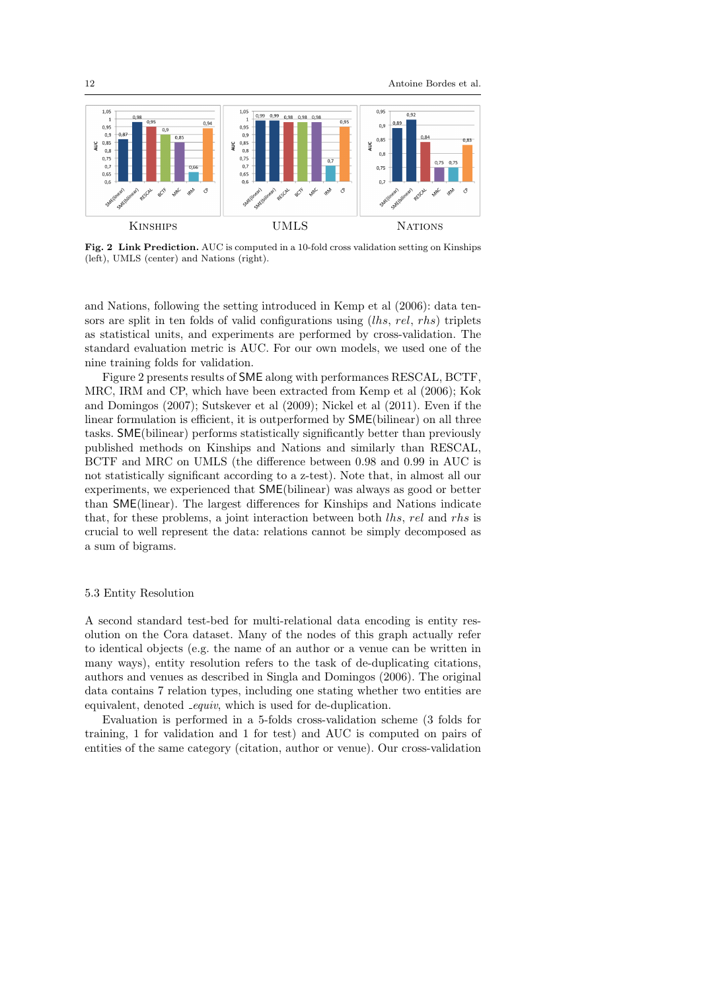

Fig. 2 Link Prediction. AUC is computed in a 10-fold cross validation setting on Kinships (left), UMLS (center) and Nations (right).

and Nations, following the setting introduced in Kemp et al (2006): data tensors are split in ten folds of valid configurations using (lhs, rel, rhs) triplets as statistical units, and experiments are performed by cross-validation. The standard evaluation metric is AUC. For our own models, we used one of the nine training folds for validation.

Figure 2 presents results of SME along with performances RESCAL, BCTF, MRC, IRM and CP, which have been extracted from Kemp et al (2006); Kok and Domingos (2007); Sutskever et al (2009); Nickel et al (2011). Even if the linear formulation is efficient, it is outperformed by SME(bilinear) on all three tasks. SME(bilinear) performs statistically significantly better than previously published methods on Kinships and Nations and similarly than RESCAL, BCTF and MRC on UMLS (the difference between 0.98 and 0.99 in AUC is not statistically significant according to a z-test). Note that, in almost all our experiments, we experienced that SME(bilinear) was always as good or better than SME(linear). The largest differences for Kinships and Nations indicate that, for these problems, a joint interaction between both lhs, rel and rhs is crucial to well represent the data: relations cannot be simply decomposed as a sum of bigrams.

#### 5.3 Entity Resolution

A second standard test-bed for multi-relational data encoding is entity resolution on the Cora dataset. Many of the nodes of this graph actually refer to identical objects (e.g. the name of an author or a venue can be written in many ways), entity resolution refers to the task of de-duplicating citations, authors and venues as described in Singla and Domingos (2006). The original data contains 7 relation types, including one stating whether two entities are equivalent, denoted *equiv*, which is used for de-duplication.

Evaluation is performed in a 5-folds cross-validation scheme (3 folds for training, 1 for validation and 1 for test) and AUC is computed on pairs of entities of the same category (citation, author or venue). Our cross-validation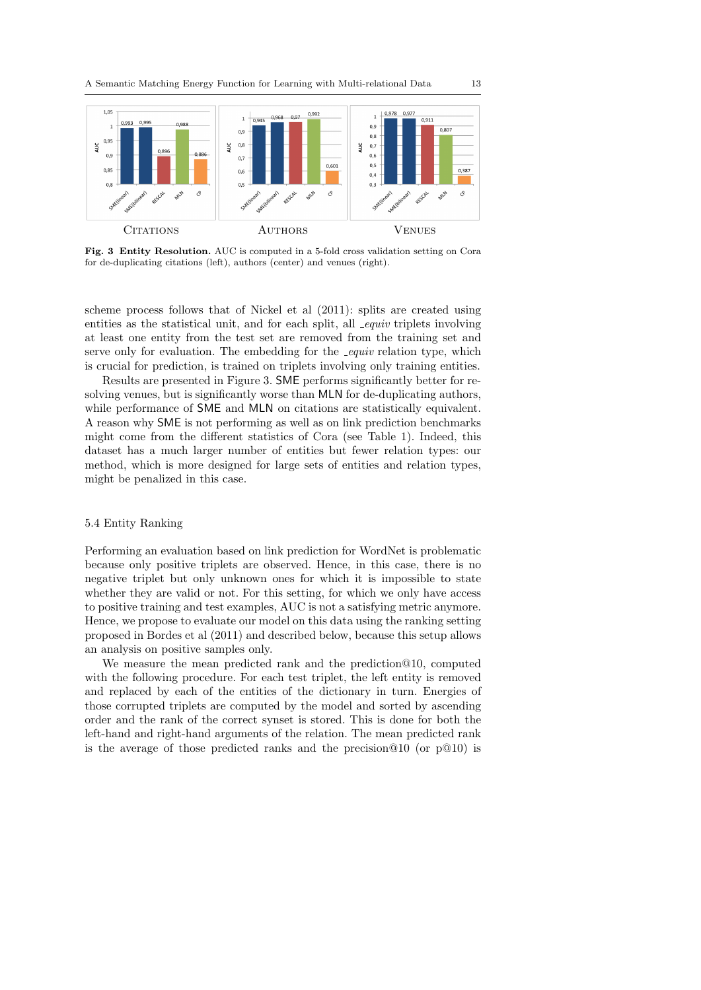

Fig. 3 Entity Resolution. AUC is computed in a 5-fold cross validation setting on Cora for de-duplicating citations (left), authors (center) and venues (right).

scheme process follows that of Nickel et al (2011): splits are created using entities as the statistical unit, and for each split, all  $_{\text{.}equiv}$  triplets involving at least one entity from the test set are removed from the training set and serve only for evaluation. The embedding for the *equiv* relation type, which is crucial for prediction, is trained on triplets involving only training entities.

Results are presented in Figure 3. SME performs significantly better for resolving venues, but is significantly worse than MLN for de-duplicating authors, while performance of **SME** and **MLN** on citations are statistically equivalent. A reason why SME is not performing as well as on link prediction benchmarks might come from the different statistics of Cora (see Table 1). Indeed, this dataset has a much larger number of entities but fewer relation types: our method, which is more designed for large sets of entities and relation types, might be penalized in this case.

# 5.4 Entity Ranking

Performing an evaluation based on link prediction for WordNet is problematic because only positive triplets are observed. Hence, in this case, there is no negative triplet but only unknown ones for which it is impossible to state whether they are valid or not. For this setting, for which we only have access to positive training and test examples, AUC is not a satisfying metric anymore. Hence, we propose to evaluate our model on this data using the ranking setting proposed in Bordes et al (2011) and described below, because this setup allows an analysis on positive samples only.

We measure the mean predicted rank and the prediction@10, computed with the following procedure. For each test triplet, the left entity is removed and replaced by each of the entities of the dictionary in turn. Energies of those corrupted triplets are computed by the model and sorted by ascending order and the rank of the correct synset is stored. This is done for both the left-hand and right-hand arguments of the relation. The mean predicted rank is the average of those predicted ranks and the precision  $@10$  (or  $p@10$ ) is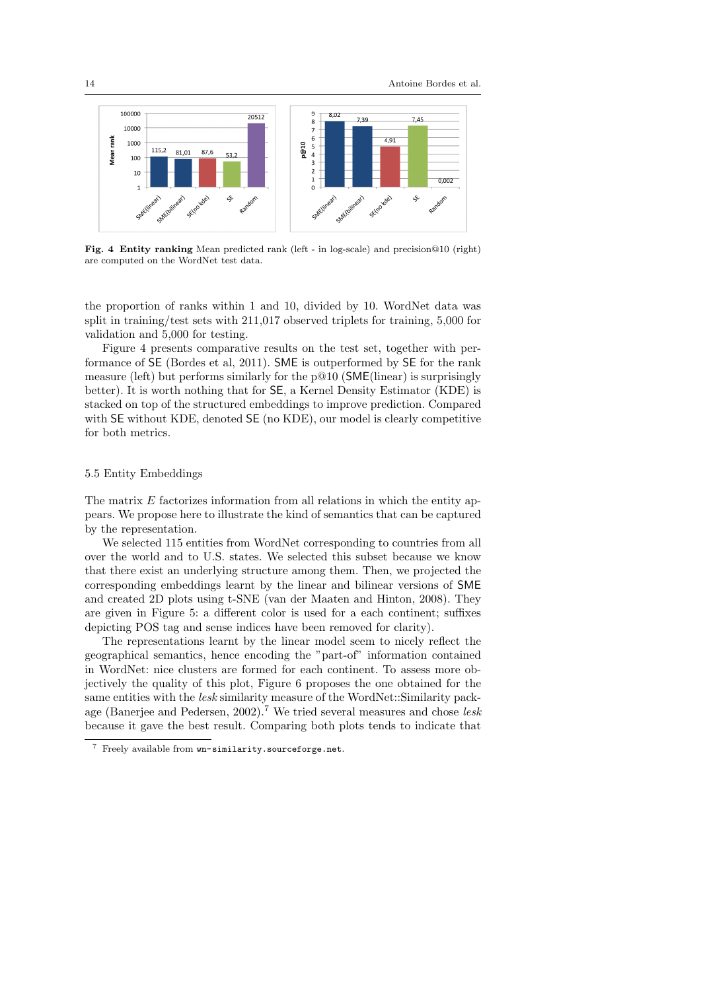

Fig. 4 Entity ranking Mean predicted rank (left - in log-scale) and precision@10 (right) are computed on the WordNet test data.

the proportion of ranks within 1 and 10, divided by 10. WordNet data was split in training/test sets with 211,017 observed triplets for training, 5,000 for validation and 5,000 for testing.

Figure 4 presents comparative results on the test set, together with performance of SE (Bordes et al, 2011). SME is outperformed by SE for the rank measure (left) but performs similarly for the  $p@10$  (SME(linear) is surprisingly better). It is worth nothing that for SE, a Kernel Density Estimator (KDE) is stacked on top of the structured embeddings to improve prediction. Compared with SE without KDE, denoted SE (no KDE), our model is clearly competitive for both metrics.

## 5.5 Entity Embeddings

The matrix  $E$  factorizes information from all relations in which the entity appears. We propose here to illustrate the kind of semantics that can be captured by the representation.

We selected 115 entities from WordNet corresponding to countries from all over the world and to U.S. states. We selected this subset because we know that there exist an underlying structure among them. Then, we projected the corresponding embeddings learnt by the linear and bilinear versions of SME and created 2D plots using t-SNE (van der Maaten and Hinton, 2008). They are given in Figure 5: a different color is used for a each continent; suffixes depicting POS tag and sense indices have been removed for clarity).

The representations learnt by the linear model seem to nicely reflect the geographical semantics, hence encoding the "part-of" information contained in WordNet: nice clusters are formed for each continent. To assess more objectively the quality of this plot, Figure 6 proposes the one obtained for the same entities with the *lesk* similarity measure of the WordNet::Similarity package (Banerjee and Pedersen, 2002).<sup>7</sup> We tried several measures and chose lesk because it gave the best result. Comparing both plots tends to indicate that

<sup>7</sup> Freely available from wn-similarity.sourceforge.net.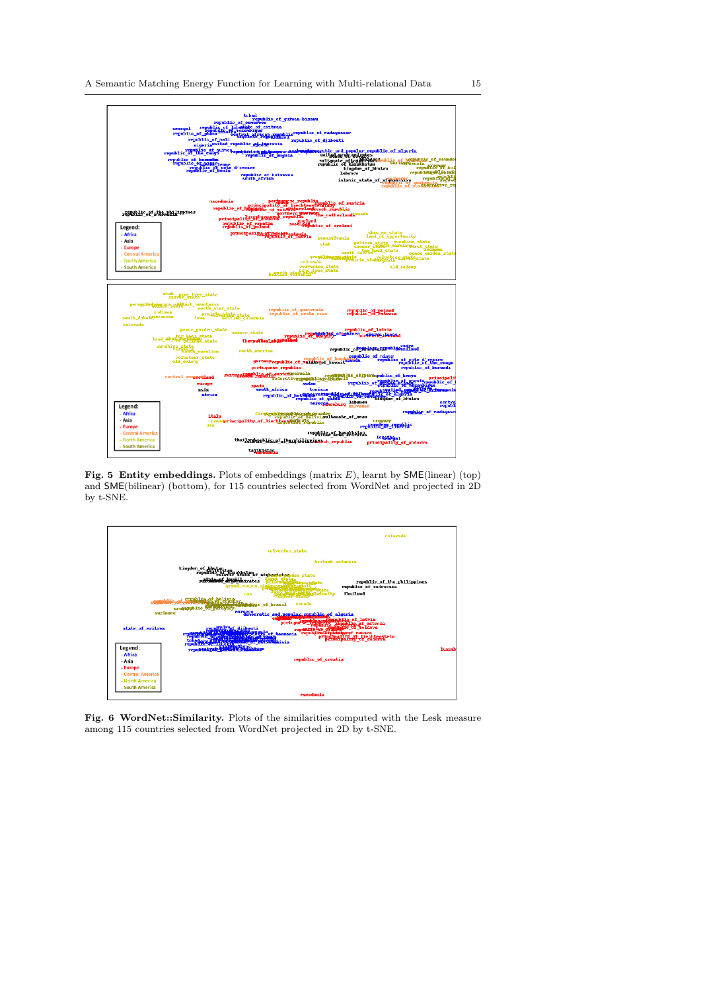

Fig. 5 Entity embeddings. Plots of embeddings (matrix  $E$ ), learnt by SME(linear) (top) and SME(bilinear) (bottom), for 115 countries selected from WordNet and projected in 2D by t-SNE.



Fig. 6 WordNet::Similarity. Plots of the similarities computed with the Lesk measure among 115 countries selected from WordNet projected in 2D by t-SNE.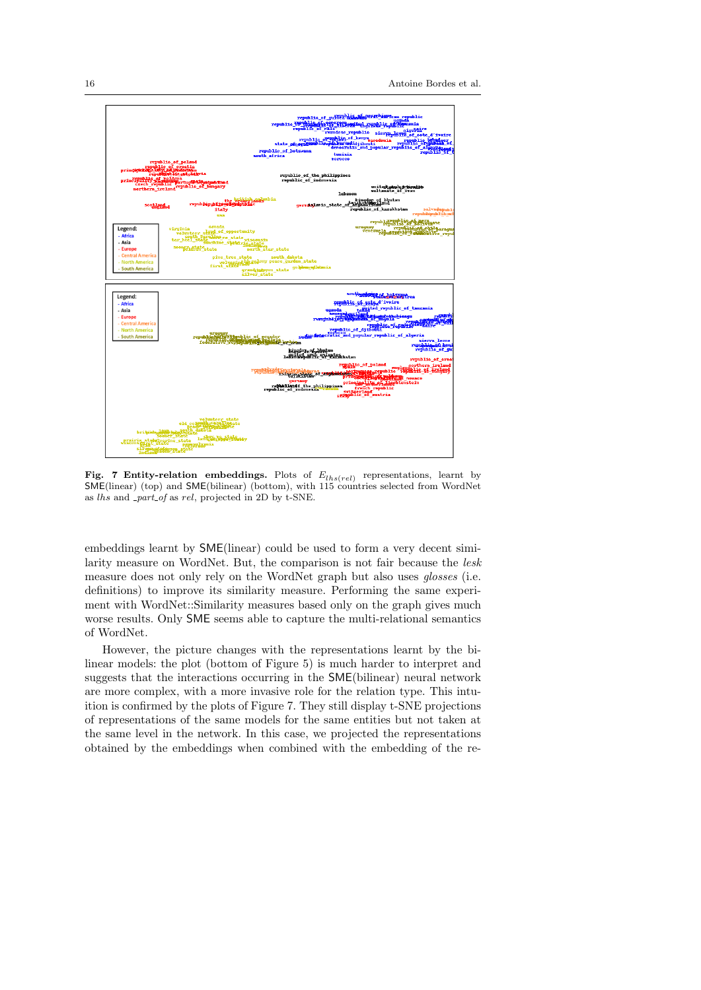

Fig. 7 Entity-relation embeddings. Plots of  $E_{lhs (rel)}$  representations, learnt by SME(linear) (top) and SME(bilinear) (bottom), with 115 countries selected from WordNet as lhs and part of as rel, projected in 2D by t-SNE.

embeddings learnt by SME(linear) could be used to form a very decent similarity measure on WordNet. But, the comparison is not fair because the lesk measure does not only rely on the WordNet graph but also uses *qlosses* (i.e. definitions) to improve its similarity measure. Performing the same experiment with WordNet::Similarity measures based only on the graph gives much worse results. Only SME seems able to capture the multi-relational semantics of WordNet.

However, the picture changes with the representations learnt by the bilinear models: the plot (bottom of Figure 5) is much harder to interpret and suggests that the interactions occurring in the SME(bilinear) neural network are more complex, with a more invasive role for the relation type. This intuition is confirmed by the plots of Figure 7. They still display t-SNE projections of representations of the same models for the same entities but not taken at the same level in the network. In this case, we projected the representations obtained by the embeddings when combined with the embedding of the re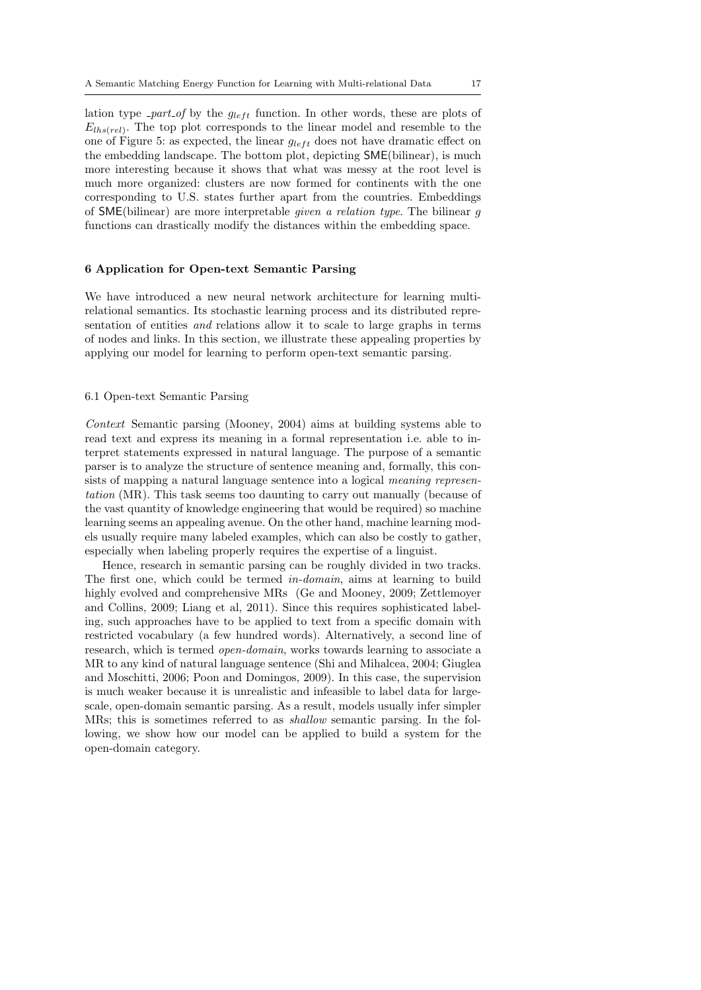lation type *-part of* by the  $g_{left}$  function. In other words, these are plots of  $E_{lhs (rel)}$ . The top plot corresponds to the linear model and resemble to the one of Figure 5: as expected, the linear  $g_{left}$  does not have dramatic effect on the embedding landscape. The bottom plot, depicting SME(bilinear), is much more interesting because it shows that what was messy at the root level is much more organized: clusters are now formed for continents with the one corresponding to U.S. states further apart from the countries. Embeddings of SME(bilinear) are more interpretable given a relation type. The bilinear g functions can drastically modify the distances within the embedding space.

#### 6 Application for Open-text Semantic Parsing

We have introduced a new neural network architecture for learning multirelational semantics. Its stochastic learning process and its distributed representation of entities and relations allow it to scale to large graphs in terms of nodes and links. In this section, we illustrate these appealing properties by applying our model for learning to perform open-text semantic parsing.

## 6.1 Open-text Semantic Parsing

Context Semantic parsing (Mooney, 2004) aims at building systems able to read text and express its meaning in a formal representation i.e. able to interpret statements expressed in natural language. The purpose of a semantic parser is to analyze the structure of sentence meaning and, formally, this consists of mapping a natural language sentence into a logical meaning representation (MR). This task seems too daunting to carry out manually (because of the vast quantity of knowledge engineering that would be required) so machine learning seems an appealing avenue. On the other hand, machine learning models usually require many labeled examples, which can also be costly to gather, especially when labeling properly requires the expertise of a linguist.

Hence, research in semantic parsing can be roughly divided in two tracks. The first one, which could be termed in-domain, aims at learning to build highly evolved and comprehensive MRs (Ge and Mooney, 2009; Zettlemoyer and Collins, 2009; Liang et al, 2011). Since this requires sophisticated labeling, such approaches have to be applied to text from a specific domain with restricted vocabulary (a few hundred words). Alternatively, a second line of research, which is termed *open-domain*, works towards learning to associate a MR to any kind of natural language sentence (Shi and Mihalcea, 2004; Giuglea and Moschitti, 2006; Poon and Domingos, 2009). In this case, the supervision is much weaker because it is unrealistic and infeasible to label data for largescale, open-domain semantic parsing. As a result, models usually infer simpler MRs; this is sometimes referred to as shallow semantic parsing. In the following, we show how our model can be applied to build a system for the open-domain category.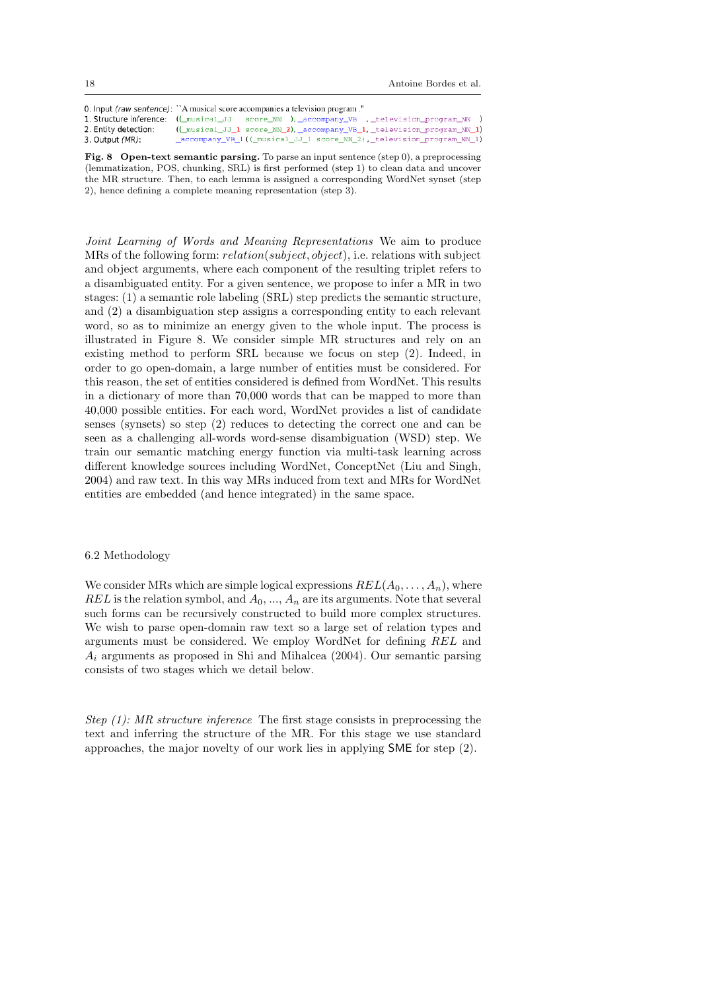18 Antoine Bordes et al.

0. Input (raw sentence): "A musical score accompanies a television program." 1. Structure inference: ((\_musical\_JJ score\_NN ), \_accompany\_VB , \_television\_program\_NN ) ((\_musical\_JJ\_1 score\_NN\_2), \_accompany\_VB\_1, \_television\_program\_NN\_1) 2. Entity detection: 3. Output (MR): accompany VB 1(( musical JJ 1 score NN 2), television program NN 1)

Fig. 8 Open-text semantic parsing. To parse an input sentence (step 0), a preprocessing (lemmatization, POS, chunking, SRL) is first performed (step 1) to clean data and uncover the MR structure. Then, to each lemma is assigned a corresponding WordNet synset (step 2), hence defining a complete meaning representation (step 3).

Joint Learning of Words and Meaning Representations We aim to produce MRs of the following form: relation(subject, object), i.e. relations with subject and object arguments, where each component of the resulting triplet refers to a disambiguated entity. For a given sentence, we propose to infer a MR in two stages: (1) a semantic role labeling (SRL) step predicts the semantic structure, and (2) a disambiguation step assigns a corresponding entity to each relevant word, so as to minimize an energy given to the whole input. The process is illustrated in Figure 8. We consider simple MR structures and rely on an existing method to perform SRL because we focus on step (2). Indeed, in order to go open-domain, a large number of entities must be considered. For this reason, the set of entities considered is defined from WordNet. This results in a dictionary of more than 70,000 words that can be mapped to more than 40,000 possible entities. For each word, WordNet provides a list of candidate senses (synsets) so step (2) reduces to detecting the correct one and can be seen as a challenging all-words word-sense disambiguation (WSD) step. We train our semantic matching energy function via multi-task learning across different knowledge sources including WordNet, ConceptNet (Liu and Singh, 2004) and raw text. In this way MRs induced from text and MRs for WordNet entities are embedded (and hence integrated) in the same space.

#### 6.2 Methodology

We consider MRs which are simple logical expressions  $REL(A_0, \ldots, A_n)$ , where REL is the relation symbol, and  $A_0$ , ...,  $A_n$  are its arguments. Note that several such forms can be recursively constructed to build more complex structures. We wish to parse open-domain raw text so a large set of relation types and arguments must be considered. We employ WordNet for defining REL and  $A_i$  arguments as proposed in Shi and Mihalcea (2004). Our semantic parsing consists of two stages which we detail below.

Step (1): MR structure inference The first stage consists in preprocessing the text and inferring the structure of the MR. For this stage we use standard approaches, the major novelty of our work lies in applying SME for step (2).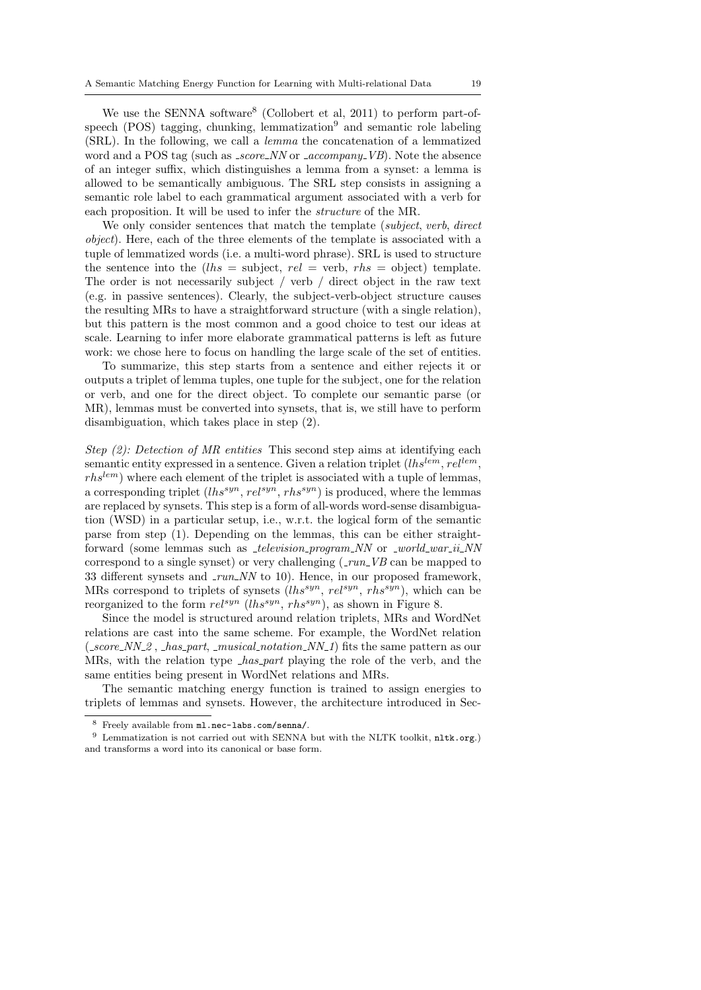We use the SENNA software<sup>8</sup> (Collobert et al, 2011) to perform part-ofspeech (POS) tagging, chunking, lemmatization<sup>9</sup> and semantic role labeling (SRL). In the following, we call a lemma the concatenation of a lemmatized word and a POS tag (such as *\_score\_NN* or *\_accompany\_VB*). Note the absence of an integer suffix, which distinguishes a lemma from a synset: a lemma is allowed to be semantically ambiguous. The SRL step consists in assigning a semantic role label to each grammatical argument associated with a verb for each proposition. It will be used to infer the structure of the MR.

We only consider sentences that match the template (subject, verb, direct object). Here, each of the three elements of the template is associated with a tuple of lemmatized words (i.e. a multi-word phrase). SRL is used to structure the sentence into the  $(lhs = \text{subject}, rel = \text{verb}, rhs = \text{object})$  template. The order is not necessarily subject / verb / direct object in the raw text (e.g. in passive sentences). Clearly, the subject-verb-object structure causes the resulting MRs to have a straightforward structure (with a single relation), but this pattern is the most common and a good choice to test our ideas at scale. Learning to infer more elaborate grammatical patterns is left as future work: we chose here to focus on handling the large scale of the set of entities.

To summarize, this step starts from a sentence and either rejects it or outputs a triplet of lemma tuples, one tuple for the subject, one for the relation or verb, and one for the direct object. To complete our semantic parse (or MR), lemmas must be converted into synsets, that is, we still have to perform disambiguation, which takes place in step (2).

Step (2): Detection of MR entities This second step aims at identifying each semantic entity expressed in a sentence. Given a relation triplet  $(lhs^{lem}, rel^{lem},$  $rhs^{tem}$ ) where each element of the triplet is associated with a tuple of lemmas, a corresponding triplet  $(lhs^{syn}, rel^{syn}, rhs^{syn})$  is produced, where the lemmas are replaced by synsets. This step is a form of all-words word-sense disambiguation (WSD) in a particular setup, i.e., w.r.t. the logical form of the semantic parse from step (1). Depending on the lemmas, this can be either straightforward (some lemmas such as *\_television\_program\_NN* or \_world\_war\_ii\_NN correspond to a single synset) or very challenging  $(\text{run}_V \vee B \text{ can be mapped to})$ 33 different synsets and  $\text{run}_N$  to 10). Hence, in our proposed framework, MRs correspond to triplets of synsets  $(lhs^{syn}, rel^{syn}, rhs^{syn})$ , which can be reorganized to the form  $rel^{syn} (lhs^{syn}, rhs^{syn})$ , as shown in Figure 8.

Since the model is structured around relation triplets, MRs and WordNet relations are cast into the same scheme. For example, the WordNet relation  $(-score_NN_2, -has-part, -musical notation_NN_1)$  fits the same pattern as our MRs, with the relation type *has part* playing the role of the verb, and the same entities being present in WordNet relations and MRs.

The semantic matching energy function is trained to assign energies to triplets of lemmas and synsets. However, the architecture introduced in Sec-

<sup>8</sup> Freely available from ml.nec-labs.com/senna/.

 $^9$  Lemmatization is not carried out with SENNA but with the NLTK toolkit,  ${\tt nltk.org}$  ) and transforms a word into its canonical or base form.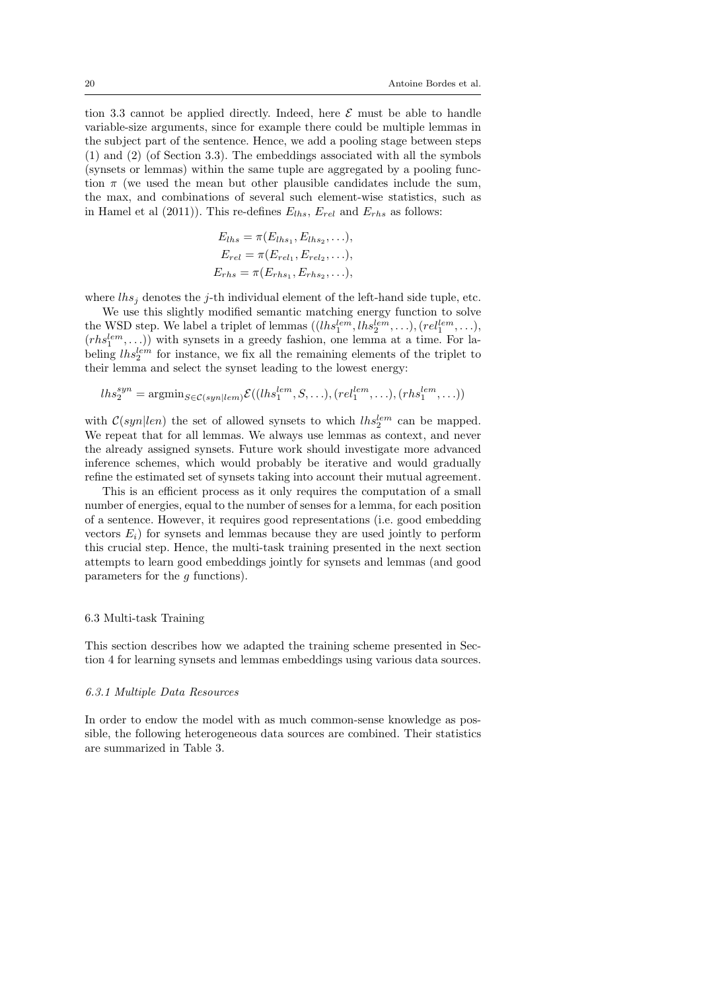tion 3.3 cannot be applied directly. Indeed, here  $\mathcal E$  must be able to handle variable-size arguments, since for example there could be multiple lemmas in the subject part of the sentence. Hence, we add a pooling stage between steps (1) and (2) (of Section 3.3). The embeddings associated with all the symbols (synsets or lemmas) within the same tuple are aggregated by a pooling function  $\pi$  (we used the mean but other plausible candidates include the sum, the max, and combinations of several such element-wise statistics, such as in Hamel et al (2011)). This re-defines  $E_{lhs}$ ,  $E_{rel}$  and  $E_{rhs}$  as follows:

$$
E_{lhs} = \pi(E_{lhs_1}, E_{lhs_2}, \ldots),
$$
  
\n
$$
E_{rel} = \pi(E_{rel_1}, E_{rel_2}, \ldots),
$$
  
\n
$$
E_{rhs} = \pi(E_{rhs_1}, E_{rhs_2}, \ldots),
$$

where  $\ln s_i$  denotes the j-th individual element of the left-hand side tuple, etc.

We use this slightly modified semantic matching energy function to solve the WSD step. We label a triplet of lemmas  $((\text{lh}_3^{lem}, \text{lh}_2^{lem}, \ldots), (\text{rel}_1^{lem}, \ldots),$  $(rhs_1^{lem}, \ldots))$  with synsets in a greedy fashion, one lemma at a time. For labeling  $lhs_2^{lem}$  for instance, we fix all the remaining elements of the triplet to their lemma and select the synset leading to the lowest energy:

$$
lhs_2^{syn} = \operatorname{argmin}_{S \in \mathcal{C}(syn|lem)} \mathcal{E}((lhs_1^{lem}, S, \ldots), (rel_1^{lem}, \ldots), (rhs_1^{lem}, \ldots))
$$

with  $C(syn|len)$  the set of allowed synsets to which  $lhs_2^{lem}$  can be mapped. We repeat that for all lemmas. We always use lemmas as context, and never the already assigned synsets. Future work should investigate more advanced inference schemes, which would probably be iterative and would gradually refine the estimated set of synsets taking into account their mutual agreement.

This is an efficient process as it only requires the computation of a small number of energies, equal to the number of senses for a lemma, for each position of a sentence. However, it requires good representations (i.e. good embedding vectors  $E_i$ ) for synsets and lemmas because they are used jointly to perform this crucial step. Hence, the multi-task training presented in the next section attempts to learn good embeddings jointly for synsets and lemmas (and good parameters for the g functions).

#### 6.3 Multi-task Training

This section describes how we adapted the training scheme presented in Section 4 for learning synsets and lemmas embeddings using various data sources.

#### 6.3.1 Multiple Data Resources

In order to endow the model with as much common-sense knowledge as possible, the following heterogeneous data sources are combined. Their statistics are summarized in Table 3.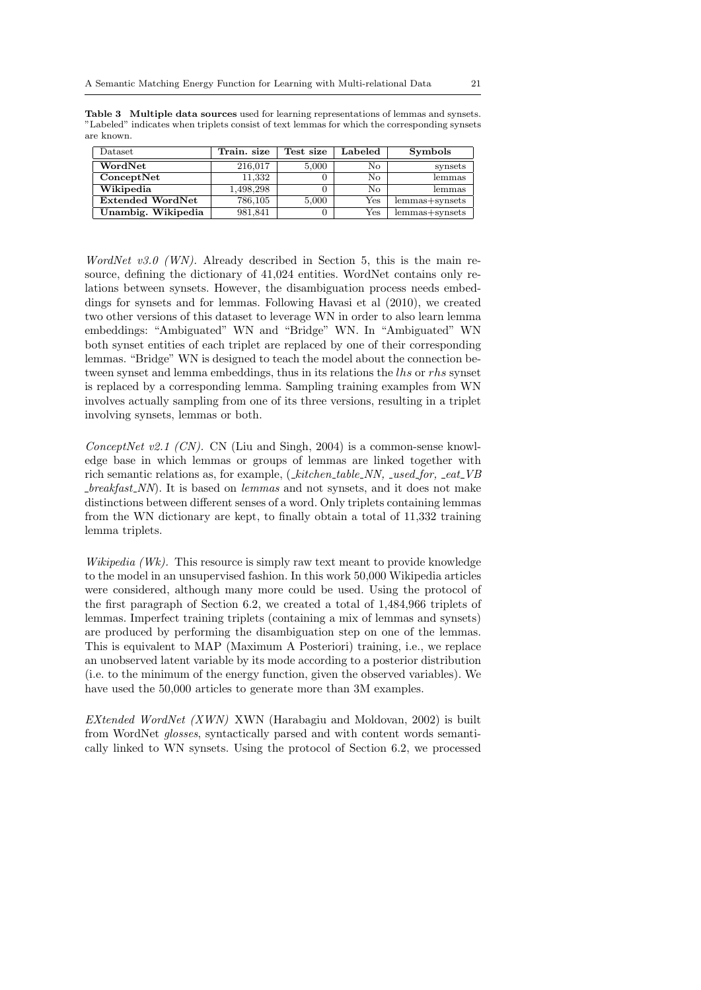| $\text{Database}$       | Train. size | Test size | ${\rm \ Labeled}$ | <b>Symbols</b>   |
|-------------------------|-------------|-----------|-------------------|------------------|
| WordNet                 | 216.017     | 5,000     | No.               | synsets          |
| ConceptNet              | 11,332      |           | No.               | lemmas           |
| Wikipedia               | 1,498,298   |           | Nο                | lemmas           |
| <b>Extended WordNet</b> | 786,105     | 5,000     | Yes               | $lemmas+synsets$ |
| Unambig. Wikipedia      | 981.841     |           | Yes               | lemmas+synsets   |

Table 3 Multiple data sources used for learning representations of lemmas and synsets. "Labeled" indicates when triplets consist of text lemmas for which the corresponding synsets are known.

WordNet v3.0 (WN). Already described in Section 5, this is the main resource, defining the dictionary of 41,024 entities. WordNet contains only relations between synsets. However, the disambiguation process needs embeddings for synsets and for lemmas. Following Havasi et al (2010), we created two other versions of this dataset to leverage WN in order to also learn lemma embeddings: "Ambiguated" WN and "Bridge" WN. In "Ambiguated" WN both synset entities of each triplet are replaced by one of their corresponding lemmas. "Bridge" WN is designed to teach the model about the connection between synset and lemma embeddings, thus in its relations the lhs or rhs synset is replaced by a corresponding lemma. Sampling training examples from WN involves actually sampling from one of its three versions, resulting in a triplet involving synsets, lemmas or both.

ConceptNet v2.1 (CN). CN (Liu and Singh, 2004) is a common-sense knowledge base in which lemmas or groups of lemmas are linked together with rich semantic relations as, for example,  $(\mathit{.kitchen\_table\_NN}, \mathit{.used\_for}, \mathit{.eat\_VB}$  $breakfast_NN$ . It is based on *lemmas* and not synsets, and it does not make distinctions between different senses of a word. Only triplets containing lemmas from the WN dictionary are kept, to finally obtain a total of 11,332 training lemma triplets.

Wikipedia  $(Wk)$ . This resource is simply raw text meant to provide knowledge to the model in an unsupervised fashion. In this work 50,000 Wikipedia articles were considered, although many more could be used. Using the protocol of the first paragraph of Section 6.2, we created a total of 1,484,966 triplets of lemmas. Imperfect training triplets (containing a mix of lemmas and synsets) are produced by performing the disambiguation step on one of the lemmas. This is equivalent to MAP (Maximum A Posteriori) training, i.e., we replace an unobserved latent variable by its mode according to a posterior distribution (i.e. to the minimum of the energy function, given the observed variables). We have used the 50,000 articles to generate more than 3M examples.

EXtended WordNet (XWN) XWN (Harabagiu and Moldovan, 2002) is built from WordNet glosses, syntactically parsed and with content words semantically linked to WN synsets. Using the protocol of Section 6.2, we processed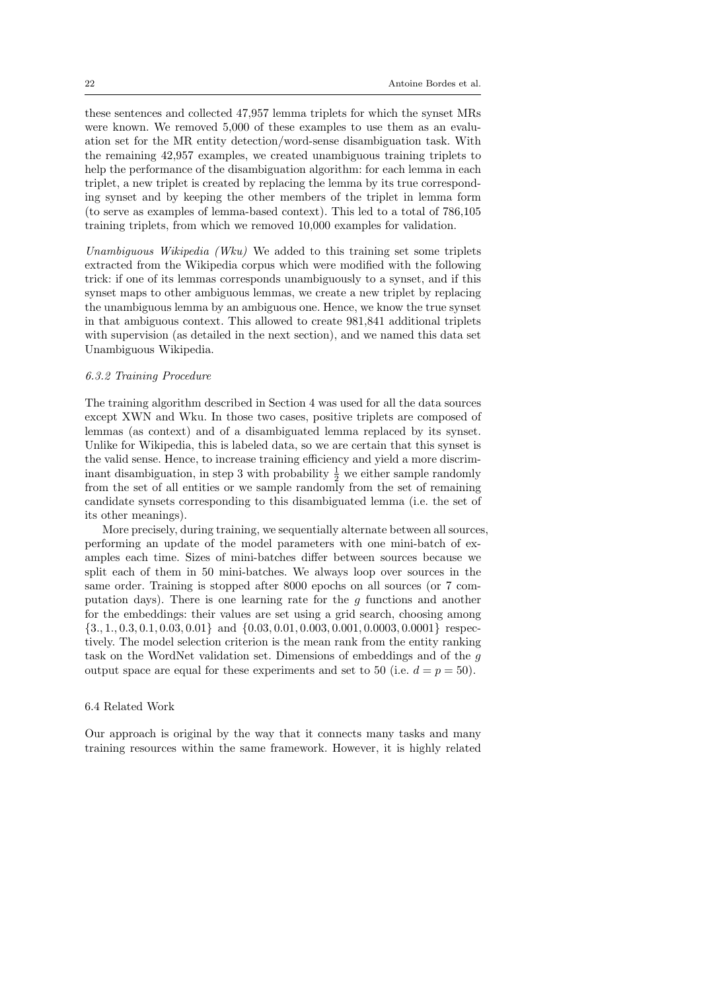these sentences and collected 47,957 lemma triplets for which the synset MRs were known. We removed 5,000 of these examples to use them as an evaluation set for the MR entity detection/word-sense disambiguation task. With the remaining 42,957 examples, we created unambiguous training triplets to help the performance of the disambiguation algorithm: for each lemma in each triplet, a new triplet is created by replacing the lemma by its true corresponding synset and by keeping the other members of the triplet in lemma form (to serve as examples of lemma-based context). This led to a total of 786,105 training triplets, from which we removed 10,000 examples for validation.

Unambiguous Wikipedia (Wku) We added to this training set some triplets extracted from the Wikipedia corpus which were modified with the following trick: if one of its lemmas corresponds unambiguously to a synset, and if this synset maps to other ambiguous lemmas, we create a new triplet by replacing the unambiguous lemma by an ambiguous one. Hence, we know the true synset in that ambiguous context. This allowed to create 981,841 additional triplets with supervision (as detailed in the next section), and we named this data set Unambiguous Wikipedia.

#### 6.3.2 Training Procedure

The training algorithm described in Section 4 was used for all the data sources except XWN and Wku. In those two cases, positive triplets are composed of lemmas (as context) and of a disambiguated lemma replaced by its synset. Unlike for Wikipedia, this is labeled data, so we are certain that this synset is the valid sense. Hence, to increase training efficiency and yield a more discriminant disambiguation, in step 3 with probability  $\frac{1}{2}$  we either sample randomly from the set of all entities or we sample randomly from the set of remaining candidate synsets corresponding to this disambiguated lemma (i.e. the set of its other meanings).

More precisely, during training, we sequentially alternate between all sources, performing an update of the model parameters with one mini-batch of examples each time. Sizes of mini-batches differ between sources because we split each of them in 50 mini-batches. We always loop over sources in the same order. Training is stopped after 8000 epochs on all sources (or 7 computation days). There is one learning rate for the  $q$  functions and another for the embeddings: their values are set using a grid search, choosing among {3., 1., 0.3, 0.1, 0.03, 0.01} and {0.03, 0.01, 0.003, 0.001, 0.0003, 0.0001} respectively. The model selection criterion is the mean rank from the entity ranking task on the WordNet validation set. Dimensions of embeddings and of the g output space are equal for these experiments and set to 50 (i.e.  $d = p = 50$ ).

#### 6.4 Related Work

Our approach is original by the way that it connects many tasks and many training resources within the same framework. However, it is highly related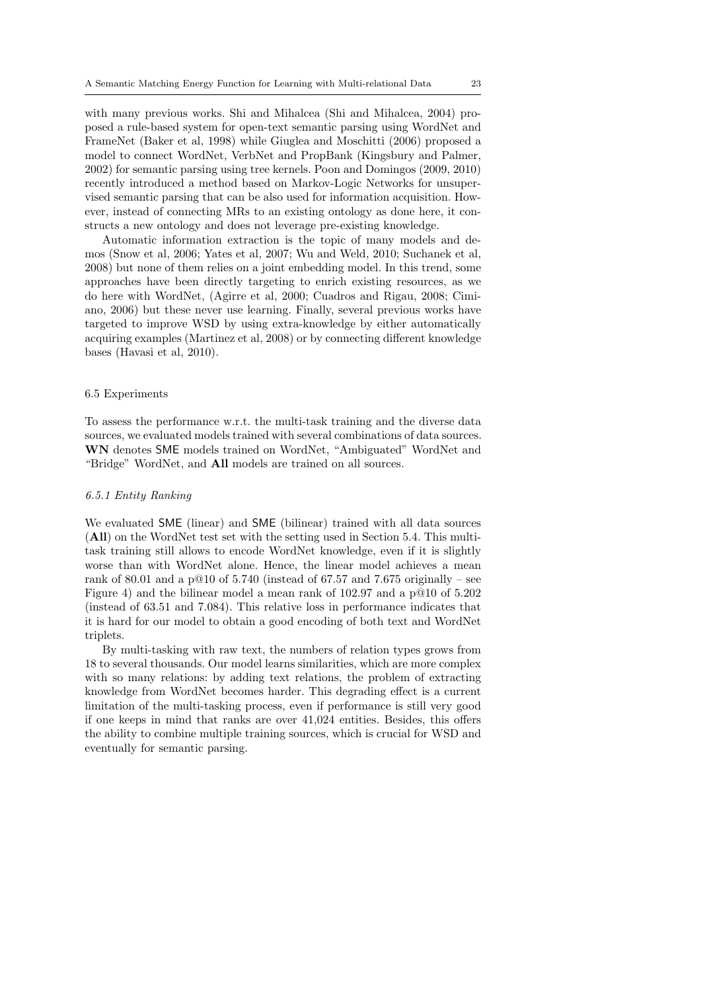with many previous works. Shi and Mihalcea (Shi and Mihalcea, 2004) proposed a rule-based system for open-text semantic parsing using WordNet and FrameNet (Baker et al, 1998) while Giuglea and Moschitti (2006) proposed a model to connect WordNet, VerbNet and PropBank (Kingsbury and Palmer, 2002) for semantic parsing using tree kernels. Poon and Domingos (2009, 2010) recently introduced a method based on Markov-Logic Networks for unsupervised semantic parsing that can be also used for information acquisition. However, instead of connecting MRs to an existing ontology as done here, it constructs a new ontology and does not leverage pre-existing knowledge.

Automatic information extraction is the topic of many models and demos (Snow et al, 2006; Yates et al, 2007; Wu and Weld, 2010; Suchanek et al, 2008) but none of them relies on a joint embedding model. In this trend, some approaches have been directly targeting to enrich existing resources, as we do here with WordNet, (Agirre et al, 2000; Cuadros and Rigau, 2008; Cimiano, 2006) but these never use learning. Finally, several previous works have targeted to improve WSD by using extra-knowledge by either automatically acquiring examples (Martinez et al, 2008) or by connecting different knowledge bases (Havasi et al, 2010).

## 6.5 Experiments

To assess the performance w.r.t. the multi-task training and the diverse data sources, we evaluated models trained with several combinations of data sources. WN denotes SME models trained on WordNet, "Ambiguated" WordNet and "Bridge" WordNet, and All models are trained on all sources.

## 6.5.1 Entity Ranking

We evaluated SME (linear) and SME (bilinear) trained with all data sources (All) on the WordNet test set with the setting used in Section 5.4. This multitask training still allows to encode WordNet knowledge, even if it is slightly worse than with WordNet alone. Hence, the linear model achieves a mean rank of 80.01 and a p $@10$  of 5.740 (instead of 67.57 and 7.675 originally – see Figure 4) and the bilinear model a mean rank of 102.97 and a p@10 of 5.202 (instead of 63.51 and 7.084). This relative loss in performance indicates that it is hard for our model to obtain a good encoding of both text and WordNet triplets.

By multi-tasking with raw text, the numbers of relation types grows from 18 to several thousands. Our model learns similarities, which are more complex with so many relations: by adding text relations, the problem of extracting knowledge from WordNet becomes harder. This degrading effect is a current limitation of the multi-tasking process, even if performance is still very good if one keeps in mind that ranks are over 41,024 entities. Besides, this offers the ability to combine multiple training sources, which is crucial for WSD and eventually for semantic parsing.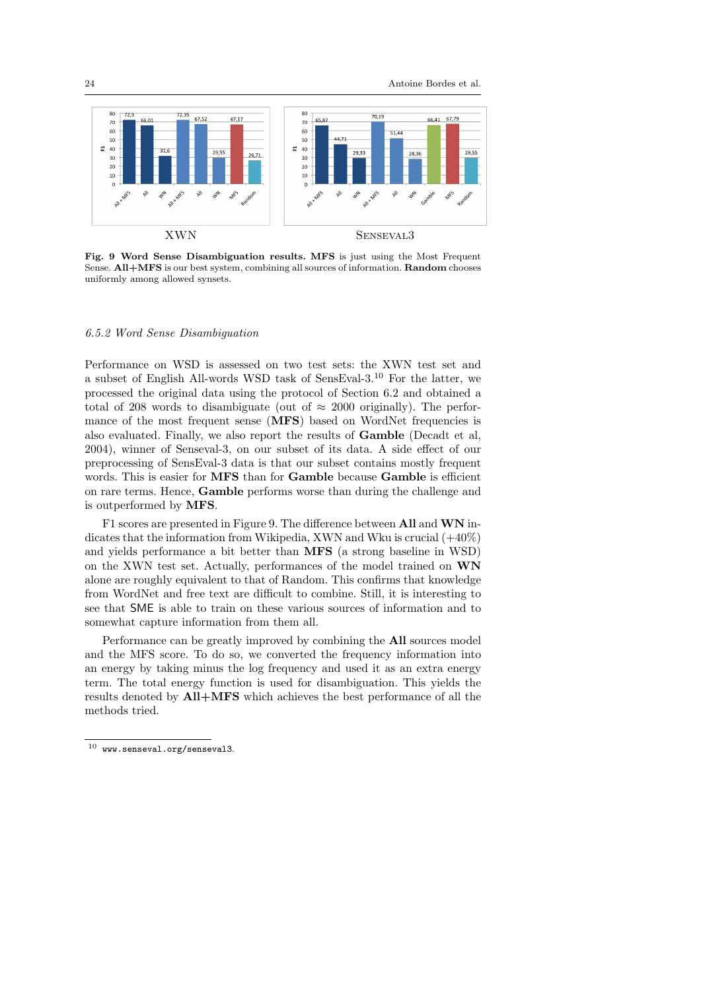

Fig. 9 Word Sense Disambiguation results. MFS is just using the Most Frequent Sense. All+MFS is our best system, combining all sources of information. Random chooses uniformly among allowed synsets.

## 6.5.2 Word Sense Disambiguation

Performance on WSD is assessed on two test sets: the XWN test set and a subset of English All-words WSD task of SensEval-3.<sup>10</sup> For the latter, we processed the original data using the protocol of Section 6.2 and obtained a total of 208 words to disambiguate (out of  $\approx 2000$  originally). The performance of the most frequent sense (MFS) based on WordNet frequencies is also evaluated. Finally, we also report the results of Gamble (Decadt et al, 2004), winner of Senseval-3, on our subset of its data. A side effect of our preprocessing of SensEval-3 data is that our subset contains mostly frequent words. This is easier for **MFS** than for **Gamble** because **Gamble** is efficient on rare terms. Hence, Gamble performs worse than during the challenge and is outperformed by MFS.

F1 scores are presented in Figure 9. The difference between All and WN indicates that the information from Wikipedia, XWN and Wku is crucial  $(+40\%)$ and yields performance a bit better than MFS (a strong baseline in WSD) on the XWN test set. Actually, performances of the model trained on WN alone are roughly equivalent to that of Random. This confirms that knowledge from WordNet and free text are difficult to combine. Still, it is interesting to see that SME is able to train on these various sources of information and to somewhat capture information from them all.

Performance can be greatly improved by combining the All sources model and the MFS score. To do so, we converted the frequency information into an energy by taking minus the log frequency and used it as an extra energy term. The total energy function is used for disambiguation. This yields the results denoted by All+MFS which achieves the best performance of all the methods tried.

 $^{10}\,$  www.senseval.org/senseval3.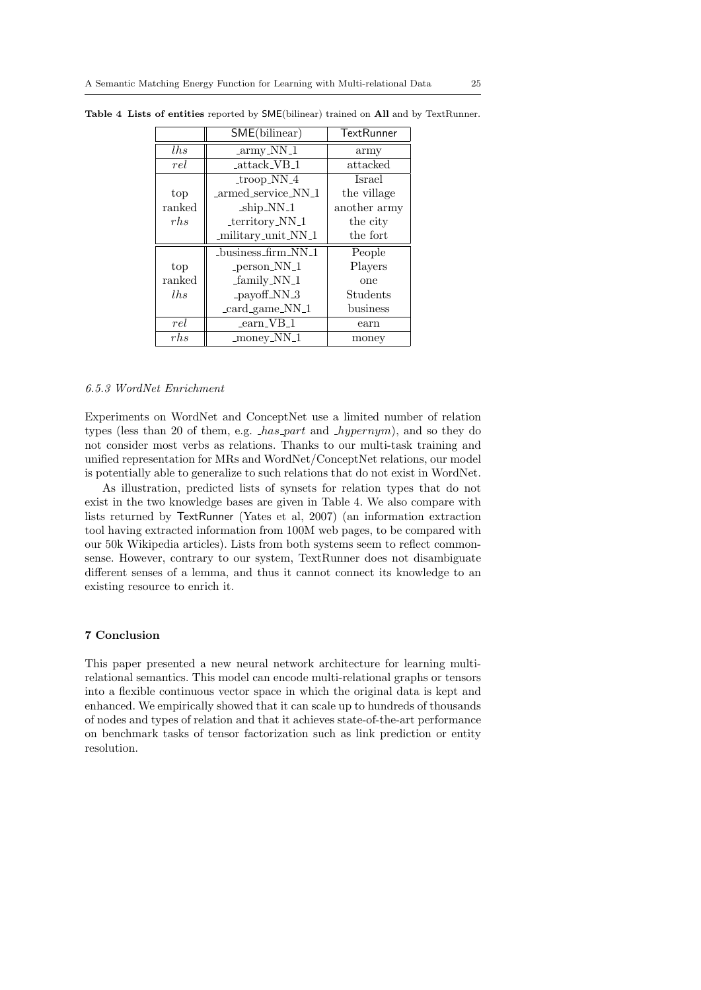|        | SME(bilinear)                   | <b>TextRunner</b> |
|--------|---------------------------------|-------------------|
| lhs    | _army_NN_1                      | army              |
| rel    | $_{\text{attack\_VB\_1}}$       | attacked          |
|        | $trop_NN_4$                     | <b>Israel</b>     |
| top    | _armed_service_NN_1             | the village       |
| ranked | ship_NN_1                       | another army      |
| rh.    | _territory_NN_1                 | the city          |
|        | _military_unit_NN_1             | the fort          |
|        | _business_firm_NN_1             | People            |
| top    | _person_NN_1                    | Players           |
| ranked | family_NN_1                     | one               |
| lhs    | _payoff_NN_3                    | Students          |
|        | _card_game_NN_1                 | business          |
| rel    | $\text{learn}$ VB <sub>-1</sub> | earn              |
| rh.    | $\mu$ money_NN_1                | money             |

Table 4 Lists of entities reported by SME(bilinear) trained on All and by TextRunner.

#### 6.5.3 WordNet Enrichment

Experiments on WordNet and ConceptNet use a limited number of relation types (less than 20 of them, e.g.  $has-part$  and  $Mypernym$ ), and so they do not consider most verbs as relations. Thanks to our multi-task training and unified representation for MRs and WordNet/ConceptNet relations, our model is potentially able to generalize to such relations that do not exist in WordNet.

As illustration, predicted lists of synsets for relation types that do not exist in the two knowledge bases are given in Table 4. We also compare with lists returned by TextRunner (Yates et al, 2007) (an information extraction tool having extracted information from 100M web pages, to be compared with our 50k Wikipedia articles). Lists from both systems seem to reflect commonsense. However, contrary to our system, TextRunner does not disambiguate different senses of a lemma, and thus it cannot connect its knowledge to an existing resource to enrich it.

# 7 Conclusion

This paper presented a new neural network architecture for learning multirelational semantics. This model can encode multi-relational graphs or tensors into a flexible continuous vector space in which the original data is kept and enhanced. We empirically showed that it can scale up to hundreds of thousands of nodes and types of relation and that it achieves state-of-the-art performance on benchmark tasks of tensor factorization such as link prediction or entity resolution.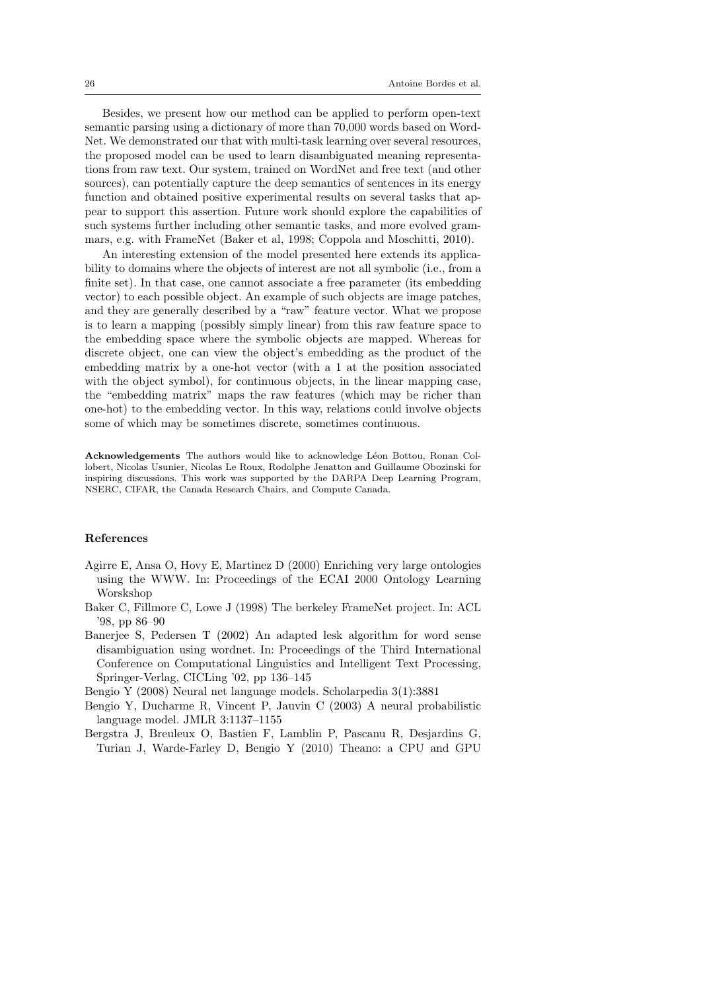Besides, we present how our method can be applied to perform open-text semantic parsing using a dictionary of more than 70,000 words based on Word-Net. We demonstrated our that with multi-task learning over several resources, the proposed model can be used to learn disambiguated meaning representations from raw text. Our system, trained on WordNet and free text (and other sources), can potentially capture the deep semantics of sentences in its energy function and obtained positive experimental results on several tasks that appear to support this assertion. Future work should explore the capabilities of such systems further including other semantic tasks, and more evolved grammars, e.g. with FrameNet (Baker et al, 1998; Coppola and Moschitti, 2010).

An interesting extension of the model presented here extends its applicability to domains where the objects of interest are not all symbolic (i.e., from a finite set). In that case, one cannot associate a free parameter (its embedding vector) to each possible object. An example of such objects are image patches, and they are generally described by a "raw" feature vector. What we propose is to learn a mapping (possibly simply linear) from this raw feature space to the embedding space where the symbolic objects are mapped. Whereas for discrete object, one can view the object's embedding as the product of the embedding matrix by a one-hot vector (with a 1 at the position associated with the object symbol), for continuous objects, in the linear mapping case, the "embedding matrix" maps the raw features (which may be richer than one-hot) to the embedding vector. In this way, relations could involve objects some of which may be sometimes discrete, sometimes continuous.

Acknowledgements The authors would like to acknowledge Léon Bottou, Ronan Collobert, Nicolas Usunier, Nicolas Le Roux, Rodolphe Jenatton and Guillaume Obozinski for inspiring discussions. This work was supported by the DARPA Deep Learning Program, NSERC, CIFAR, the Canada Research Chairs, and Compute Canada.

## References

- Agirre E, Ansa O, Hovy E, Martinez D (2000) Enriching very large ontologies using the WWW. In: Proceedings of the ECAI 2000 Ontology Learning Worskshop
- Baker C, Fillmore C, Lowe J (1998) The berkeley FrameNet project. In: ACL '98, pp 86–90
- Banerjee S, Pedersen T (2002) An adapted lesk algorithm for word sense disambiguation using wordnet. In: Proceedings of the Third International Conference on Computational Linguistics and Intelligent Text Processing, Springer-Verlag, CICLing '02, pp 136–145

Bengio Y (2008) Neural net language models. Scholarpedia 3(1):3881

- Bengio Y, Ducharme R, Vincent P, Jauvin C (2003) A neural probabilistic language model. JMLR 3:1137–1155
- Bergstra J, Breuleux O, Bastien F, Lamblin P, Pascanu R, Desjardins G, Turian J, Warde-Farley D, Bengio Y (2010) Theano: a CPU and GPU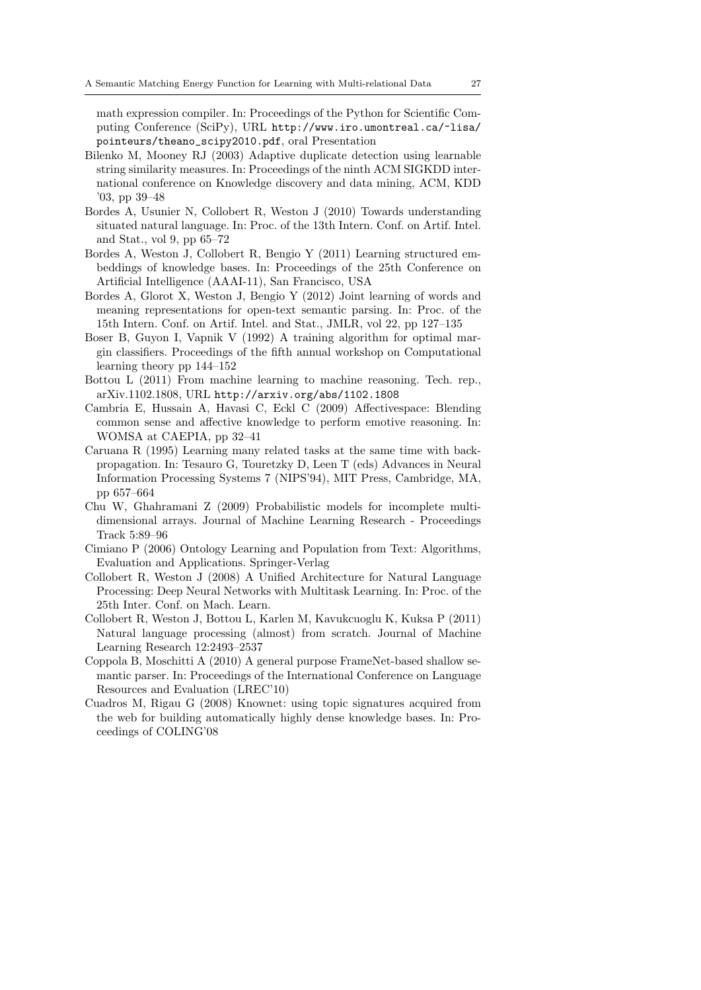math expression compiler. In: Proceedings of the Python for Scientific Computing Conference (SciPy), URL http://www.iro.umontreal.ca/~lisa/ pointeurs/theano\_scipy2010.pdf, oral Presentation

- Bilenko M, Mooney RJ (2003) Adaptive duplicate detection using learnable string similarity measures. In: Proceedings of the ninth ACM SIGKDD international conference on Knowledge discovery and data mining, ACM, KDD '03, pp 39–48
- Bordes A, Usunier N, Collobert R, Weston J (2010) Towards understanding situated natural language. In: Proc. of the 13th Intern. Conf. on Artif. Intel. and Stat., vol 9, pp 65–72
- Bordes A, Weston J, Collobert R, Bengio Y (2011) Learning structured embeddings of knowledge bases. In: Proceedings of the 25th Conference on Artificial Intelligence (AAAI-11), San Francisco, USA
- Bordes A, Glorot X, Weston J, Bengio Y (2012) Joint learning of words and meaning representations for open-text semantic parsing. In: Proc. of the 15th Intern. Conf. on Artif. Intel. and Stat., JMLR, vol 22, pp 127–135
- Boser B, Guyon I, Vapnik V (1992) A training algorithm for optimal margin classifiers. Proceedings of the fifth annual workshop on Computational learning theory pp 144–152
- Bottou L (2011) From machine learning to machine reasoning. Tech. rep., arXiv.1102.1808, URL http://arxiv.org/abs/1102.1808
- Cambria E, Hussain A, Havasi C, Eckl C (2009) Affectivespace: Blending common sense and affective knowledge to perform emotive reasoning. In: WOMSA at CAEPIA, pp 32–41
- Caruana R (1995) Learning many related tasks at the same time with backpropagation. In: Tesauro G, Touretzky D, Leen T (eds) Advances in Neural Information Processing Systems 7 (NIPS'94), MIT Press, Cambridge, MA, pp 657–664
- Chu W, Ghahramani Z (2009) Probabilistic models for incomplete multidimensional arrays. Journal of Machine Learning Research - Proceedings Track 5:89–96
- Cimiano P (2006) Ontology Learning and Population from Text: Algorithms, Evaluation and Applications. Springer-Verlag
- Collobert R, Weston J (2008) A Unified Architecture for Natural Language Processing: Deep Neural Networks with Multitask Learning. In: Proc. of the 25th Inter. Conf. on Mach. Learn.
- Collobert R, Weston J, Bottou L, Karlen M, Kavukcuoglu K, Kuksa P (2011) Natural language processing (almost) from scratch. Journal of Machine Learning Research 12:2493–2537
- Coppola B, Moschitti A (2010) A general purpose FrameNet-based shallow semantic parser. In: Proceedings of the International Conference on Language Resources and Evaluation (LREC'10)
- Cuadros M, Rigau G (2008) Knownet: using topic signatures acquired from the web for building automatically highly dense knowledge bases. In: Proceedings of COLING'08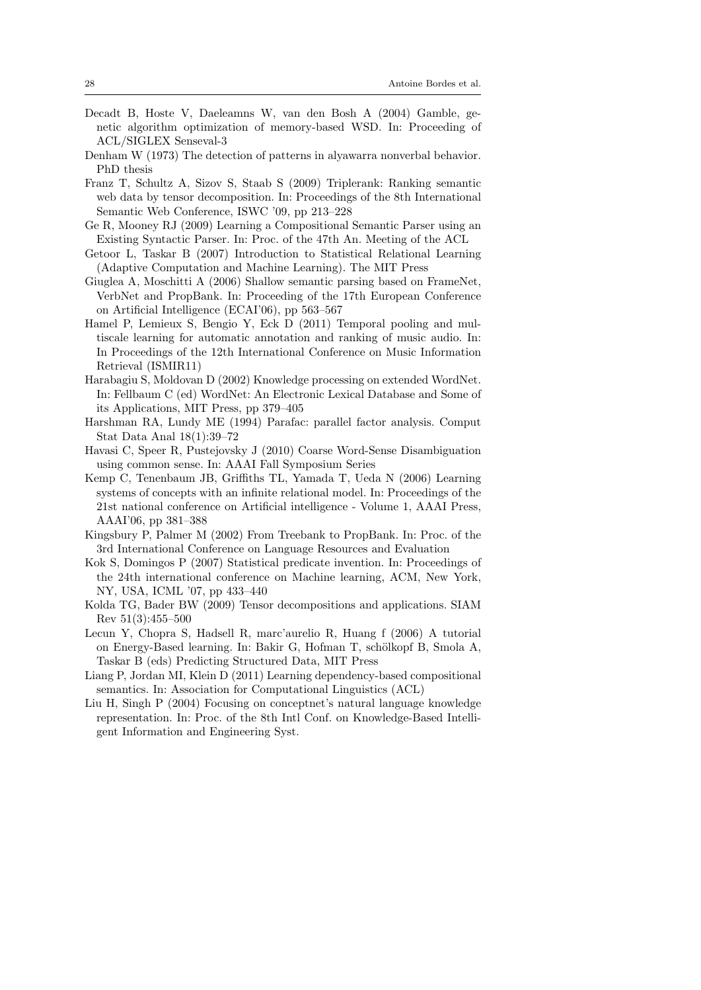- Decadt B, Hoste V, Daeleamns W, van den Bosh A (2004) Gamble, genetic algorithm optimization of memory-based WSD. In: Proceeding of ACL/SIGLEX Senseval-3
- Denham W (1973) The detection of patterns in alyawarra nonverbal behavior. PhD thesis
- Franz T, Schultz A, Sizov S, Staab S (2009) Triplerank: Ranking semantic web data by tensor decomposition. In: Proceedings of the 8th International Semantic Web Conference, ISWC '09, pp 213–228
- Ge R, Mooney RJ (2009) Learning a Compositional Semantic Parser using an Existing Syntactic Parser. In: Proc. of the 47th An. Meeting of the ACL
- Getoor L, Taskar B (2007) Introduction to Statistical Relational Learning (Adaptive Computation and Machine Learning). The MIT Press
- Giuglea A, Moschitti A (2006) Shallow semantic parsing based on FrameNet, VerbNet and PropBank. In: Proceeding of the 17th European Conference on Artificial Intelligence (ECAI'06), pp 563–567
- Hamel P, Lemieux S, Bengio Y, Eck D (2011) Temporal pooling and multiscale learning for automatic annotation and ranking of music audio. In: In Proceedings of the 12th International Conference on Music Information Retrieval (ISMIR11)
- Harabagiu S, Moldovan D (2002) Knowledge processing on extended WordNet. In: Fellbaum C (ed) WordNet: An Electronic Lexical Database and Some of its Applications, MIT Press, pp 379–405
- Harshman RA, Lundy ME (1994) Parafac: parallel factor analysis. Comput Stat Data Anal 18(1):39–72
- Havasi C, Speer R, Pustejovsky J (2010) Coarse Word-Sense Disambiguation using common sense. In: AAAI Fall Symposium Series
- Kemp C, Tenenbaum JB, Griffiths TL, Yamada T, Ueda N (2006) Learning systems of concepts with an infinite relational model. In: Proceedings of the 21st national conference on Artificial intelligence - Volume 1, AAAI Press, AAAI'06, pp 381–388
- Kingsbury P, Palmer M (2002) From Treebank to PropBank. In: Proc. of the 3rd International Conference on Language Resources and Evaluation
- Kok S, Domingos P (2007) Statistical predicate invention. In: Proceedings of the 24th international conference on Machine learning, ACM, New York, NY, USA, ICML '07, pp 433–440
- Kolda TG, Bader BW (2009) Tensor decompositions and applications. SIAM Rev 51(3):455–500
- Lecun Y, Chopra S, Hadsell R, marc'aurelio R, Huang f (2006) A tutorial on Energy-Based learning. In: Bakir G, Hofman T, schölkopf B, Smola A, Taskar B (eds) Predicting Structured Data, MIT Press
- Liang P, Jordan MI, Klein D (2011) Learning dependency-based compositional semantics. In: Association for Computational Linguistics (ACL)
- Liu H, Singh P (2004) Focusing on conceptnet's natural language knowledge representation. In: Proc. of the 8th Intl Conf. on Knowledge-Based Intelligent Information and Engineering Syst.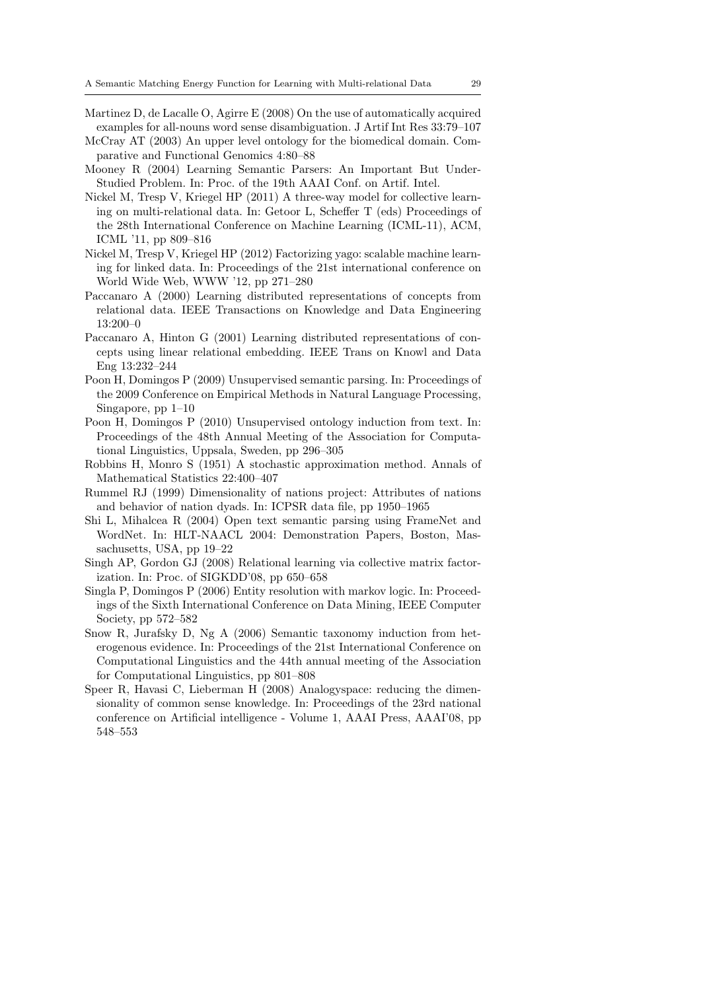- Martinez D, de Lacalle O, Agirre E (2008) On the use of automatically acquired examples for all-nouns word sense disambiguation. J Artif Int Res 33:79–107
- McCray AT (2003) An upper level ontology for the biomedical domain. Comparative and Functional Genomics 4:80–88
- Mooney R (2004) Learning Semantic Parsers: An Important But Under-Studied Problem. In: Proc. of the 19th AAAI Conf. on Artif. Intel.
- Nickel M, Tresp V, Kriegel HP (2011) A three-way model for collective learning on multi-relational data. In: Getoor L, Scheffer T (eds) Proceedings of the 28th International Conference on Machine Learning (ICML-11), ACM, ICML '11, pp 809–816
- Nickel M, Tresp V, Kriegel HP (2012) Factorizing yago: scalable machine learning for linked data. In: Proceedings of the 21st international conference on World Wide Web, WWW '12, pp 271–280
- Paccanaro A (2000) Learning distributed representations of concepts from relational data. IEEE Transactions on Knowledge and Data Engineering 13:200–0
- Paccanaro A, Hinton G (2001) Learning distributed representations of concepts using linear relational embedding. IEEE Trans on Knowl and Data Eng 13:232–244
- Poon H, Domingos P (2009) Unsupervised semantic parsing. In: Proceedings of the 2009 Conference on Empirical Methods in Natural Language Processing, Singapore, pp 1–10
- Poon H, Domingos P (2010) Unsupervised ontology induction from text. In: Proceedings of the 48th Annual Meeting of the Association for Computational Linguistics, Uppsala, Sweden, pp 296–305
- Robbins H, Monro S (1951) A stochastic approximation method. Annals of Mathematical Statistics 22:400–407
- Rummel RJ (1999) Dimensionality of nations project: Attributes of nations and behavior of nation dyads. In: ICPSR data file, pp 1950–1965
- Shi L, Mihalcea R (2004) Open text semantic parsing using FrameNet and WordNet. In: HLT-NAACL 2004: Demonstration Papers, Boston, Massachusetts, USA, pp 19–22
- Singh AP, Gordon GJ (2008) Relational learning via collective matrix factorization. In: Proc. of SIGKDD'08, pp 650–658
- Singla P, Domingos P (2006) Entity resolution with markov logic. In: Proceedings of the Sixth International Conference on Data Mining, IEEE Computer Society, pp 572–582
- Snow R, Jurafsky D, Ng A (2006) Semantic taxonomy induction from heterogenous evidence. In: Proceedings of the 21st International Conference on Computational Linguistics and the 44th annual meeting of the Association for Computational Linguistics, pp 801–808
- Speer R, Havasi C, Lieberman H (2008) Analogyspace: reducing the dimensionality of common sense knowledge. In: Proceedings of the 23rd national conference on Artificial intelligence - Volume 1, AAAI Press, AAAI'08, pp 548–553